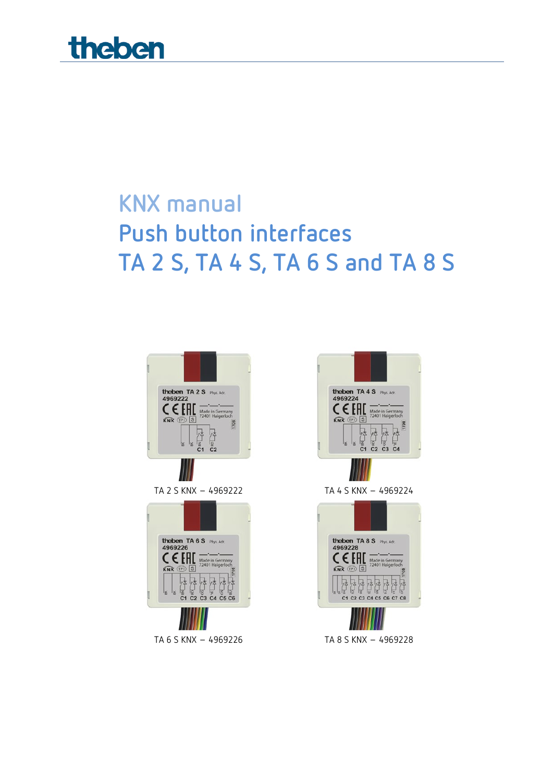

# **KNX manual Push button interfaces TA 2 S, TA 4 S, TA 6 S and TA 8 S**









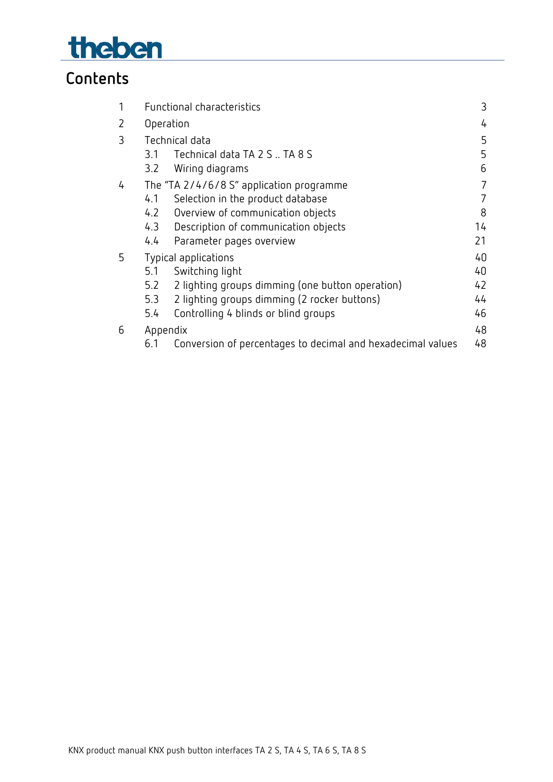

## **Contents**

| 1 | Functional characteristics                                         | 3  |
|---|--------------------------------------------------------------------|----|
| 2 | Operation                                                          | 4  |
| 3 | Technical data                                                     | 5  |
|   | Technical data TA 2 S  TA 8 S<br>3.1                               | 5  |
|   | Wiring diagrams<br>3.2                                             | 6  |
| 4 | The "TA 2/4/6/8 S" application programme                           | 7  |
|   | Selection in the product database<br>4.1                           | 7  |
|   | 4.2<br>Overview of communication objects                           | 8  |
|   | 4.3<br>Description of communication objects                        | 14 |
|   | 4.4<br>Parameter pages overview                                    | 21 |
| 5 | Typical applications                                               | 40 |
|   | 5.1<br>Switching light                                             | 40 |
|   | 5.2<br>2 lighting groups dimming (one button operation)            | 42 |
|   | 2 lighting groups dimming (2 rocker buttons)<br>5.3                | 44 |
|   | Controlling 4 blinds or blind groups<br>5.4                        | 46 |
| 6 | Appendix                                                           | 48 |
|   | Conversion of percentages to decimal and hexadecimal values<br>6.1 | 48 |
|   |                                                                    |    |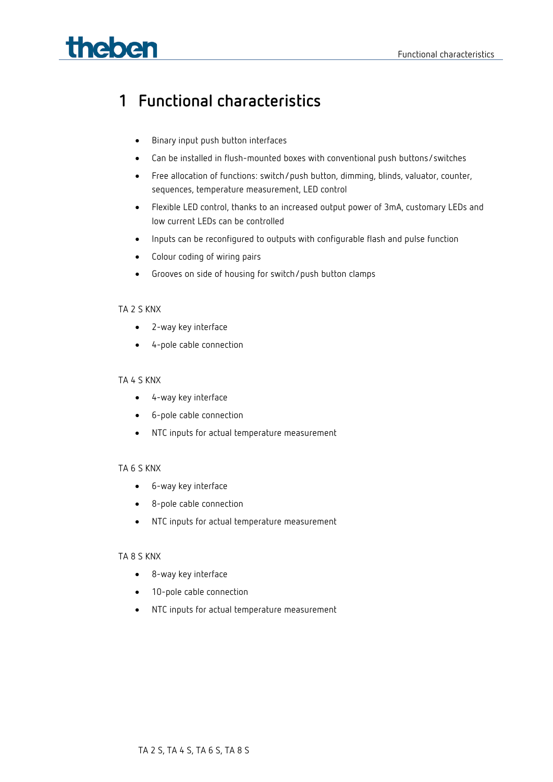# **Theben Example 20** Functional characteristics

## <span id="page-2-0"></span>**1 Functional characteristics**

- Binary input push button interfaces
- Can be installed in flush-mounted boxes with conventional push buttons/switches
- Free allocation of functions: switch/push button, dimming, blinds, valuator, counter, sequences, temperature measurement, LED control
- Flexible LED control, thanks to an increased output power of 3mA, customary LEDs and low current LEDs can be controlled
- Inputs can be reconfigured to outputs with configurable flash and pulse function
- Colour coding of wiring pairs
- Grooves on side of housing for switch/push button clamps

#### TA 2 S KNX

- 2-way key interface
- 4-pole cable connection

#### TA 4 S KNX

- 4-way key interface
- 6-pole cable connection
- NTC inputs for actual temperature measurement

#### TA 6 S KNX

- 6-way key interface
- 8-pole cable connection
- NTC inputs for actual temperature measurement

#### TA 8 S KNX

- 8-way key interface
- 10-pole cable connection
- NTC inputs for actual temperature measurement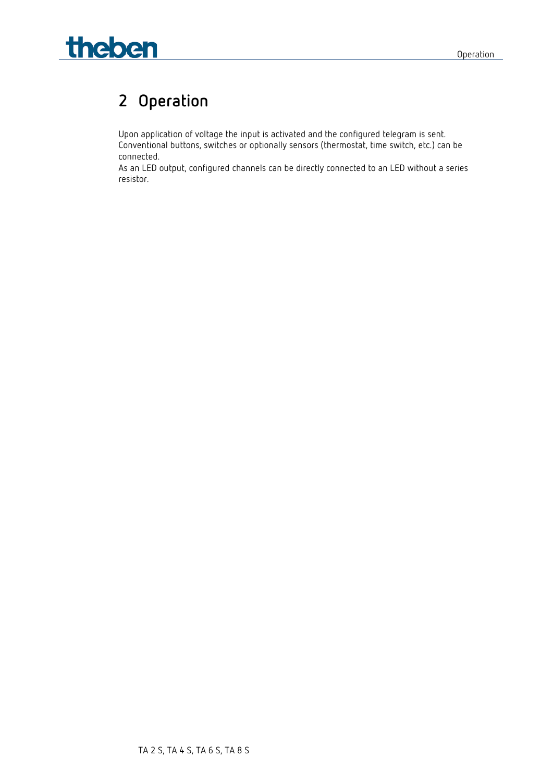

## <span id="page-3-0"></span>**2 Operation**

Upon application of voltage the input is activated and the configured telegram is sent. Conventional buttons, switches or optionally sensors (thermostat, time switch, etc.) can be connected.

As an LED output, configured channels can be directly connected to an LED without a series resistor.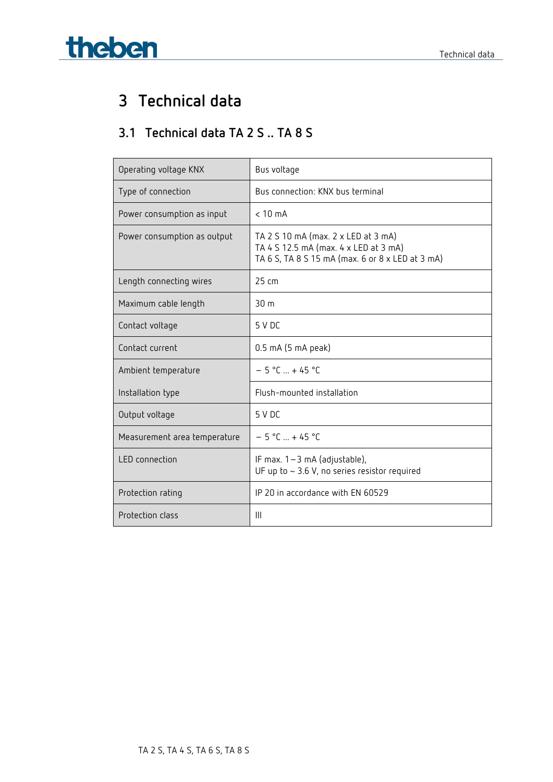# **Theben Technical data**

## <span id="page-4-0"></span>**3 Technical data**

## <span id="page-4-1"></span>**3.1 Technical data TA 2 S .. TA 8 S**

| Operating voltage KNX        | Bus voltage                                                                                                                      |
|------------------------------|----------------------------------------------------------------------------------------------------------------------------------|
| Type of connection           | Bus connection: KNX bus terminal                                                                                                 |
| Power consumption as input   | $< 10$ mA                                                                                                                        |
| Power consumption as output  | TA 2 S 10 mA (max. 2 x LED at 3 mA)<br>TA 4 S 12.5 mA (max. 4 x LED at 3 mA)<br>TA 6 S, TA 8 S 15 mA (max. 6 or 8 x LED at 3 mA) |
| Length connecting wires      | $25 \text{ cm}$                                                                                                                  |
| Maximum cable length         | 30 <sub>m</sub>                                                                                                                  |
| Contact voltage              | 5 V DC                                                                                                                           |
| Contact current              | 0.5 mA (5 mA peak)                                                                                                               |
| Ambient temperature          | $-5 °C  + 45 °C$                                                                                                                 |
| Installation type            | Flush-mounted installation                                                                                                       |
| Output voltage               | 5 V DC                                                                                                                           |
| Measurement area temperature | $-5 °C  + 45 °C$                                                                                                                 |
| <b>LED</b> connection        | IF max. $1 - 3$ mA (adjustable),<br>UF up to $\sim$ 3.6 V, no series resistor required                                           |
| Protection rating            | IP 20 in accordance with EN 60529                                                                                                |
| Protection class             | Ш                                                                                                                                |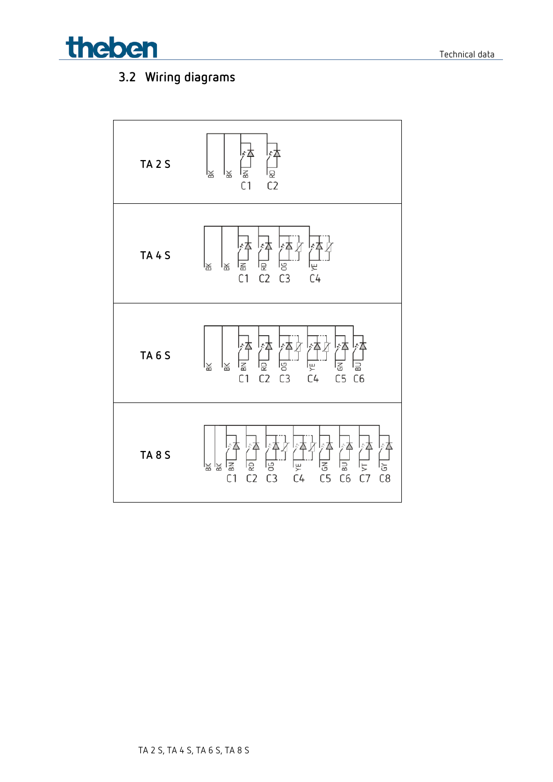

## <span id="page-5-0"></span>**3.2 Wiring diagrams**

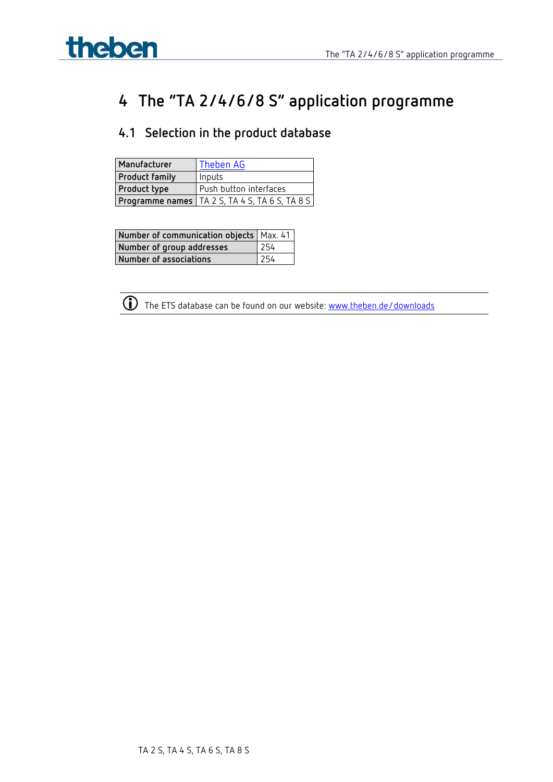

## <span id="page-6-0"></span>**4 The "TA 2/4/6/8 S" application programme**

## <span id="page-6-1"></span>**4.1 Selection in the product database**

| Manufacturer          | Theben AG                                               |
|-----------------------|---------------------------------------------------------|
| <b>Product family</b> | Inputs                                                  |
| <b>Product type</b>   | Push button interfaces                                  |
|                       | <b>Programme names  </b> TA 2 S, TA 4 S, TA 6 S, TA 8 S |

| Number of communication objects   Max. 41 |     |
|-------------------------------------------|-----|
| Number of group addresses                 | 254 |
| Number of associations                    | 254 |



The ETS database can be found on our website: [www.theben.de/downloads](http://www.theben.de/downloads)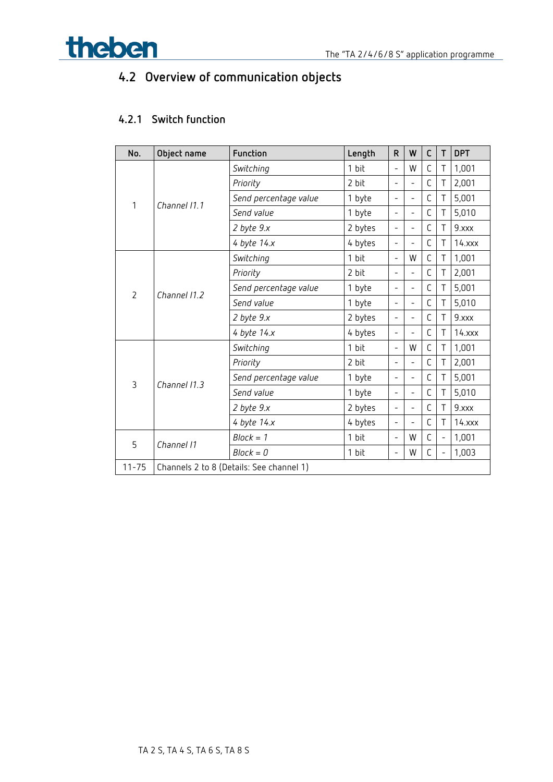

## <span id="page-7-0"></span>**4.2 Overview of communication objects**

## **4.2.1 Switch function**

| No.            | Object name  | Function                                 | Length  | R                        | W                        | C | T              | <b>DPT</b>  |
|----------------|--------------|------------------------------------------|---------|--------------------------|--------------------------|---|----------------|-------------|
|                |              | Switching                                | 1 bit   | $\overline{\phantom{0}}$ | W                        | C | Τ              | 1,001       |
|                |              | Priority                                 | 2 bit   | $\overline{\phantom{0}}$ | $\overline{a}$           | C | Τ              | 2,001       |
|                |              | Send percentage value                    | 1 byte  | $\overline{\phantom{0}}$ | $\overline{a}$           | С | Τ              | 5,001       |
| 1              | Channel 11.1 | Send value                               | 1 byte  | $\overline{a}$           | ÷                        | С | Τ              | 5,010       |
|                |              | 2 byte 9.x                               | 2 bytes | $\overline{\phantom{a}}$ | $\overline{a}$           | С | Τ              | 9.xxx       |
|                |              | 4 byte 14.x                              | 4 bytes | Ξ.                       | $\overline{\phantom{0}}$ | C | Τ              | $14.$ xxx   |
|                |              | Switching                                | 1 bit   | $\overline{a}$           | W                        | C | Τ              | 1,001       |
|                | Channel 11.2 | Priority                                 | 2 bit   | $\overline{\phantom{0}}$ | $\overline{a}$           | С | Τ              | 2,001       |
| $\overline{2}$ |              | Send percentage value                    | 1 byte  | $\overline{\phantom{0}}$ | $\overline{\phantom{0}}$ | С | Τ              | 5,001       |
|                |              | Send value                               | 1 byte  | Ξ.                       | $\overline{a}$           | С | Τ              | 5,010       |
|                |              | $2$ byte $9.x$                           | 2 bytes | $\overline{\phantom{0}}$ | $\overline{\phantom{0}}$ | С | Т              | 9.xxx       |
|                |              | 4 byte 14.x                              | 4 bytes | $\overline{\phantom{0}}$ | $\overline{\phantom{0}}$ | C | Τ              | $14.$ $xxx$ |
|                |              | Switching                                | 1 bit   | $\overline{a}$           | W                        | C | Τ              | 1,001       |
|                |              | Priority                                 | 2 bit   | $\overline{a}$           | $\overline{a}$           | C | Т              | 2,001       |
| 3              | Channel 11.3 | Send percentage value                    | 1 byte  | $\overline{\phantom{0}}$ | $\overline{a}$           | С | Τ              | 5,001       |
|                |              | Send value                               | 1 byte  | $\overline{\phantom{0}}$ | $\overline{\phantom{0}}$ | С | Τ              | 5,010       |
|                |              | $2$ byte $9.x$                           | 2 bytes | $\overline{\phantom{a}}$ | $\overline{a}$           | C | Τ              | 9.xxx       |
|                |              | 4 byte 14.x                              | 4 bytes | $\overline{\phantom{0}}$ | ÷                        | С | Τ              | $14.$ $xxx$ |
| 5              | Channel 11   | $Block = 1$                              | 1 bit   | $\overline{\phantom{0}}$ | W                        | C | $\overline{a}$ | 1,001       |
|                |              | $Block = 0$                              | 1 bit   | $\overline{\phantom{0}}$ | W                        | С | $\overline{a}$ | 1,003       |
| $11 - 75$      |              | Channels 2 to 8 (Details: See channel 1) |         |                          |                          |   |                |             |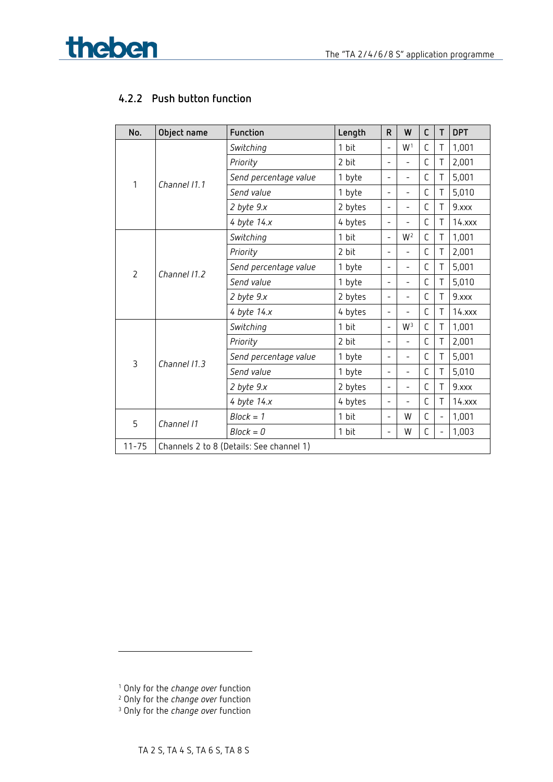

## **4.2.2 Push button function**

| No.            | Object name  | Function                                 | Length  | R                        | W                        | C           | T | <b>DPT</b>  |
|----------------|--------------|------------------------------------------|---------|--------------------------|--------------------------|-------------|---|-------------|
|                |              | Switching                                | 1 bit   | $\overline{a}$           | W <sup>1</sup>           | C           | Τ | 1,001       |
|                |              | Priority                                 | 2 bit   | $\overline{\phantom{0}}$ | $\overline{a}$           | C           | Τ | 2,001       |
|                | Channel 11.1 | Send percentage value                    | 1 byte  | $\qquad \qquad -$        | $\overline{\phantom{0}}$ | C           | Τ | 5,001       |
| 1              |              | Send value                               | 1 byte  | $\overline{\phantom{0}}$ | $\overline{a}$           | C           | Τ | 5,010       |
|                |              | $2$ byte $9.x$                           | 2 bytes | $\overline{\phantom{a}}$ | ÷.                       | C           | Τ | 9.xxx       |
|                |              | 4 byte 14.x                              | 4 bytes | $\qquad \qquad -$        | $\overline{a}$           | C           | Τ | $14.$ xxx   |
|                |              | Switching                                | 1 bit   | $\overline{a}$           | $W^2$                    | C           | Τ | 1,001       |
| $\overline{2}$ | Channel 11.2 | Priority                                 | 2 bit   | $\overline{\phantom{0}}$ | $\overline{\phantom{0}}$ | C           | Τ | 2,001       |
|                |              | Send percentage value                    | 1 byte  | $\overline{\phantom{0}}$ | $\overline{\phantom{0}}$ | С           | Τ | 5,001       |
|                |              | Send value                               | 1 byte  | $\overline{\phantom{0}}$ | $\overline{a}$           | С           | Τ | 5,010       |
|                |              | $2$ byte $9.x$                           | 2 bytes | $\qquad \qquad -$        | $\overline{\phantom{0}}$ | С           | Τ | 9.xxx       |
|                |              | 4 byte 14.x                              | 4 bytes | $\overline{\phantom{a}}$ | $\overline{a}$           | C           | Τ | $14.$ xxx   |
|                |              | Switching                                | 1 bit   | $\overline{a}$           | W <sup>3</sup>           | C           | Τ | 1,001       |
|                |              | Priority                                 | 2 bit   | $\overline{\phantom{0}}$ | $\overline{a}$           | С           | Τ | 2,001       |
| $\overline{3}$ | Channel 11.3 | Send percentage value                    | 1 byte  | $\qquad \qquad -$        | $\overline{\phantom{a}}$ | С           | Τ | 5,001       |
|                |              | Send value                               | 1 byte  | $\overline{\phantom{0}}$ | $\overline{a}$           | $\mathsf C$ | Τ | 5,010       |
|                |              | $2$ byte $9.x$                           | 2 bytes | -                        | $\overline{\phantom{0}}$ | С           | Τ | 9.xxx       |
|                |              | 4 byte 14.x                              | 4 bytes | $\overline{\phantom{0}}$ | $\overline{a}$           | C           | Τ | $14.$ $xxx$ |
| 5              |              | $Block = 1$                              | 1 bit   | $\overline{\phantom{a}}$ | W                        | C           |   | 1,001       |
|                | Channel 11   | $Block = 0$                              | 1 bit   | $\overline{\phantom{a}}$ | W                        | $\mathsf C$ |   | 1,003       |
| $11 - 75$      |              | Channels 2 to 8 (Details: See channel 1) |         |                          |                          |             |   |             |

-

<span id="page-8-0"></span><sup>1</sup> Only for the *change over* function

<span id="page-8-1"></span><sup>2</sup> Only for the *change over* function

<span id="page-8-2"></span><sup>3</sup> Only for the *change over* function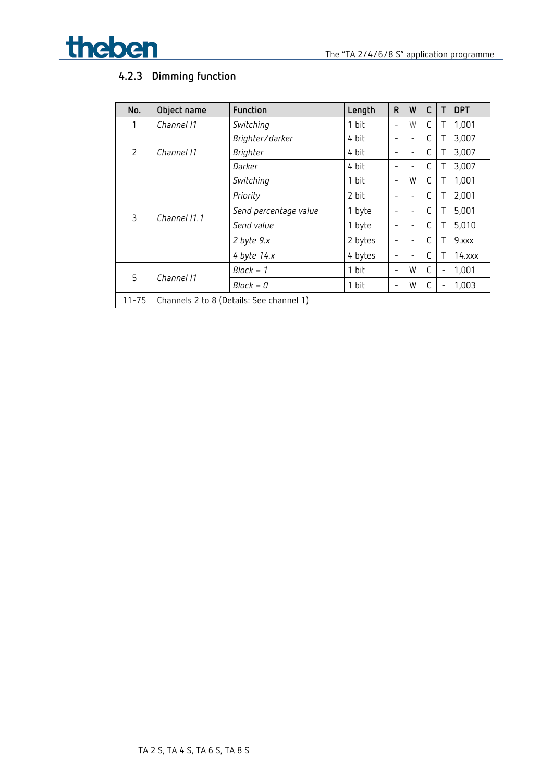



## **4.2.3 Dimming function**

| No.                         | Object name  | Function                                 | Length  | $\mathsf{R}$ | W | C |                          | <b>DPT</b> |
|-----------------------------|--------------|------------------------------------------|---------|--------------|---|---|--------------------------|------------|
| 1                           | Channel 11   | Switching                                | 1 bit   | -            | W | С | Τ                        | 1,001      |
|                             |              | Brighter/darker                          | 4 bit   |              |   | С |                          | 3,007      |
| $\mathcal{P}$<br>Channel 11 |              | Brighter                                 | 4 bit   |              |   | С | Τ                        | 3,007      |
|                             |              | Darker                                   | 4 bit   |              |   | C |                          | 3,007      |
|                             | Channel 11.1 | Switching                                | 1 bit   | -            | W | C | Τ                        | 1,001      |
|                             |              | Priority                                 | 2 bit   |              |   | C | Τ                        | 2,001      |
| 3                           |              | Send percentage value                    | 1 byte  |              |   | C | Τ                        | 5,001      |
|                             |              | Send value                               | 1 byte  |              | - | С |                          | 5,010      |
|                             |              | $2$ byte $9.x$                           | 2 bytes |              |   | С |                          | 9.xxx      |
|                             |              | 4 byte $14.x$                            | 4 bytes |              |   | C |                          | $14.$ xxx  |
|                             |              | $Block = 1$                              | 1 bit   | -            | W | C | $\overline{\phantom{0}}$ | 1,001      |
| 5                           | Channel 11   | $Block = 0$                              | 1 bit   | -            | W | C |                          | 1,003      |
| $11 - 75$                   |              | Channels 2 to 8 (Details: See channel 1) |         |              |   |   |                          |            |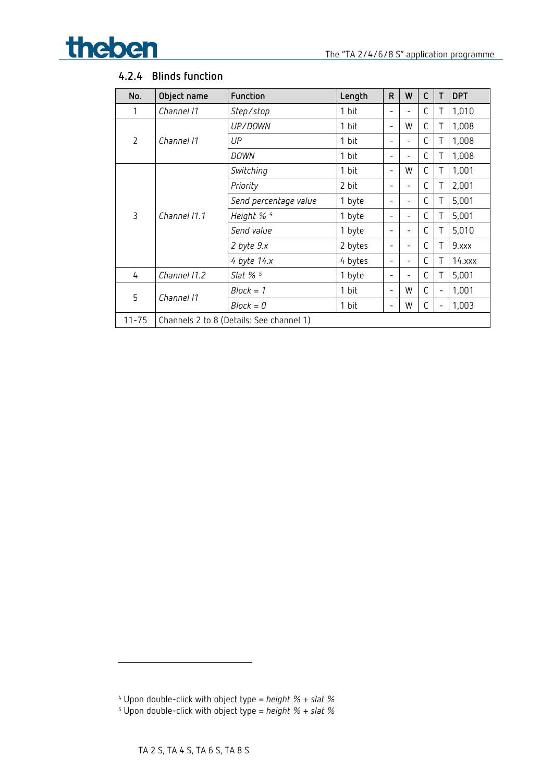

## **4.2.4 Blinds function**

| No.            | Object name  | Function                                 | Length  | $\mathsf{R}$             | W                        | C | $\mathsf{T}$ | <b>DPT</b>  |
|----------------|--------------|------------------------------------------|---------|--------------------------|--------------------------|---|--------------|-------------|
|                | Channel 11   | Step/stop                                | 1 bit   |                          | $\qquad \qquad -$        | C |              | 1,010       |
|                |              | UP/DOWN                                  | 1 bit   | $\overline{\phantom{m}}$ | W                        | С | Τ            | 1,008       |
| $\overline{2}$ | Channel 11   | UP                                       | 1 bit   |                          |                          | C | Т            | 1,008       |
|                |              | DOWN                                     | 1 bit   |                          | $\qquad \qquad -$        | C | Τ            | 1,008       |
|                |              | Switching                                | 1 bit   | $\overline{\phantom{0}}$ | W                        | C | Τ            | 1,001       |
|                | Channel 11.1 | Priority                                 | 2 bit   |                          | $\overline{\phantom{0}}$ | C |              | 2,001       |
|                |              | Send percentage value                    | 1 byte  |                          | $\overline{\phantom{0}}$ | C |              | 5,001       |
| 3              |              | Height % 4                               | 1 byte  |                          | $\qquad \qquad$          | C | Τ            | 5,001       |
|                |              | Send value                               | 1 byte  |                          | $\overline{\phantom{0}}$ | C | Τ            | 5,010       |
|                |              | 2 byte 9.x                               | 2 bytes |                          | $\overline{\phantom{0}}$ | C | Τ            | 9.xxx       |
|                |              | 4 byte $14.x$                            | 4 bytes |                          | $\qquad \qquad -$        | C |              | $14.$ $xxx$ |
| 4              | Channel 11.2 | Slat $%$ <sup>5</sup>                    | 1 byte  |                          | -                        | C |              | 5,001       |
| 5              |              | $Block = 1$                              | 1 bit   | $\overline{\phantom{0}}$ | W                        | C |              | 1,001       |
|                | Channel 11   | $Block = 0$                              | 1 bit   | $\overline{\phantom{0}}$ | W                        | C |              | 1,003       |
| $11 - 75$      |              | Channels 2 to 8 (Details: See channel 1) |         |                          |                          |   |              |             |

<u>.</u>

<sup>4</sup> Upon double-click with object type = *height % + slat %*

<span id="page-10-1"></span><span id="page-10-0"></span><sup>5</sup> Upon double-click with object type = *height % + slat %*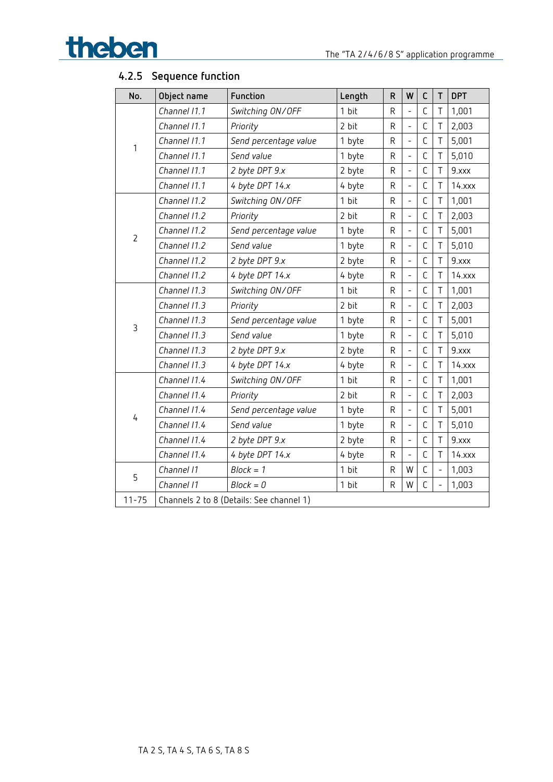

| No.            | Object name  | Function                                 | Length | R           | W                        | C           | $\mathsf T$    | <b>DPT</b> |
|----------------|--------------|------------------------------------------|--------|-------------|--------------------------|-------------|----------------|------------|
|                | Channel 11.1 | Switching ON/OFF                         | 1 bit  | R           | $\overline{a}$           | C           | Τ              | 1,001      |
|                | Channel 11.1 | Priority                                 | 2 bit  | R           | $\overline{a}$           | C           | T              | 2,003      |
| 1              | Channel 11.1 | Send percentage value                    | 1 byte | R           | $\overline{a}$           | C           | T              | 5,001      |
|                | Channel 11.1 | Send value                               | 1 byte | R           | $\overline{a}$           | C           | T              | 5,010      |
|                | Channel 11.1 | 2 byte DPT 9.x                           | 2 byte | R           | $\overline{a}$           | C           | T              | 9.xxx      |
|                | Channel 11.1 | 4 byte DPT 14.x                          | 4 byte | R           | $\overline{a}$           | C           | T              | $14.$ xxx  |
|                | Channel 11.2 | Switching ON/OFF                         | 1 bit  | R           | $\overline{a}$           | С           | Τ              | 1,001      |
|                | Channel 11.2 | Priority                                 | 2 bit  | R           | $\overline{\phantom{0}}$ | С           | T              | 2,003      |
| $\overline{2}$ | Channel 11.2 | Send percentage value                    | 1 byte | R           | $\overline{a}$           | C           | T              | 5,001      |
|                | Channel 11.2 | Send value                               | 1 byte | R           | $\overline{a}$           | C           | T              | 5,010      |
|                | Channel 11.2 | 2 byte DPT 9.x                           | 2 byte | $\mathsf R$ | $\overline{a}$           | C           | T              | 9.xxx      |
|                | Channel 11.2 | 4 byte DPT 14.x                          | 4 byte | R           | $\overline{a}$           | C           | $\top$         | $14.$ xxx  |
|                | Channel 11.3 | Switching ON/OFF                         | 1 bit  | R           | $\overline{a}$           | C           | T              | 1,001      |
|                | Channel 11.3 | Priority                                 | 2 bit  | R           | $\overline{\phantom{0}}$ | С           | Τ              | 2,003      |
|                | Channel 11.3 | Send percentage value                    | 1 byte | R           | $\overline{a}$           | C           | T              | 5,001      |
| 3              | Channel 11.3 | Send value                               | 1 byte | R           | $\overline{a}$           | C           | T              | 5,010      |
|                | Channel 11.3 | 2 byte DPT 9.x                           | 2 byte | R           | $\overline{a}$           | С           | Τ              | 9.xxx      |
|                | Channel 11.3 | 4 byte DPT 14.x                          | 4 byte | R           | $\overline{a}$           | C           | $\top$         | $14.$ xxx  |
|                | Channel 11.4 | Switching ON/OFF                         | 1 bit  | R           | $\overline{a}$           | C           | T              | 1,001      |
|                | Channel 11.4 | Priority                                 | 2 bit  | R           | $\overline{a}$           | C           | Τ              | 2,003      |
|                | Channel 11.4 | Send percentage value                    | 1 byte | R           |                          | C           | Τ              | 5,001      |
| 4              | Channel 11.4 | Send value                               | 1 byte | R           | $\overline{a}$           | C           | T              | 5,010      |
|                | Channel 11.4 | 2 byte DPT 9.x                           | 2 byte | R           | $\overline{\phantom{0}}$ | С           | T              | 9.xxx      |
|                | Channel 11.4 | 4 byte DPT 14.x                          | 4 byte | R           |                          | $\mathsf C$ | T              | $14.$ xxx  |
| 5              | Channel 11   | $Block = 1$                              | 1 bit  | R           | W                        | C           | $\overline{a}$ | 1,003      |
|                | Channel 11   | $Block = 0$                              | 1 bit  | R           | W                        | C           |                | 1,003      |
| $11 - 75$      |              | Channels 2 to 8 (Details: See channel 1) |        |             |                          |             |                |            |

## **4.2.5 Sequence function**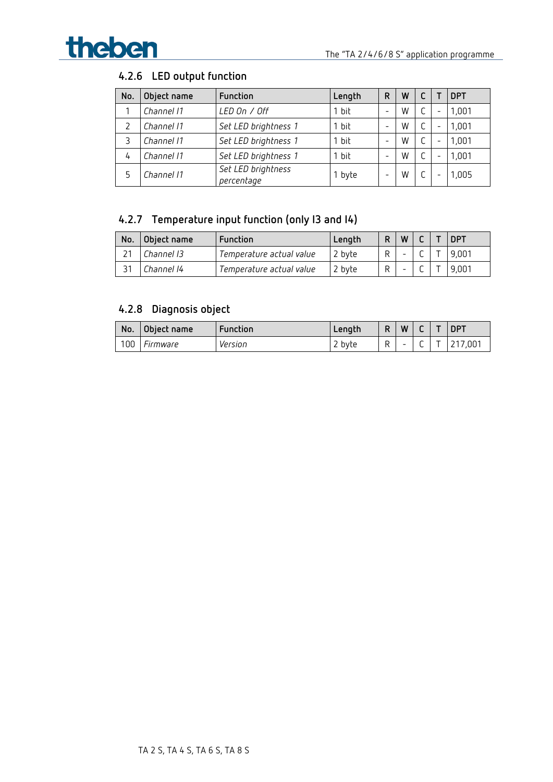

## **4.2.6 LED output function**

| No. | Object name | Function                         | Length | R | W |                          | <b>DPT</b> |
|-----|-------------|----------------------------------|--------|---|---|--------------------------|------------|
|     | Channel 11  | LED On / Off                     | 1 bit  | - | W | $\qquad \qquad$          | 1,001      |
|     | Channel 11  | Set LED brightness 1             | r bit  | - | W | $\qquad \qquad$          | 1,001      |
| 3   | Channel 11  | Set LED brightness 1             | 1 bit  | - | W | $\qquad \qquad$          | 1,001      |
| 4   | Channel 11  | Set LED brightness 1             | 1 bit  | - | W | $\overline{\phantom{0}}$ | 1,001      |
| 5   | Channel 11  | Set LED brightness<br>percentage | 1 byte | - | W | $\overline{\phantom{0}}$ | ,005       |

## **4.2.7 Temperature input function (only I3 and I4)**

| No. | Object name | Function                 | Length | W |  | <b>DPT</b> |
|-----|-------------|--------------------------|--------|---|--|------------|
|     | Channel 13  | Temperature actual value | 2 byte |   |  | 9.001      |
|     | Channel 14  | Temperature actual value | 2 byte |   |  | 9.001      |

## **4.2.8 Diagnosis object**

| No. | Object name     | Function | Length | D | W |     | <b>DPT</b> |
|-----|-----------------|----------|--------|---|---|-----|------------|
| 100 | <i>Firmware</i> | Version  | 2 byte | R | - | . . | ,7,001     |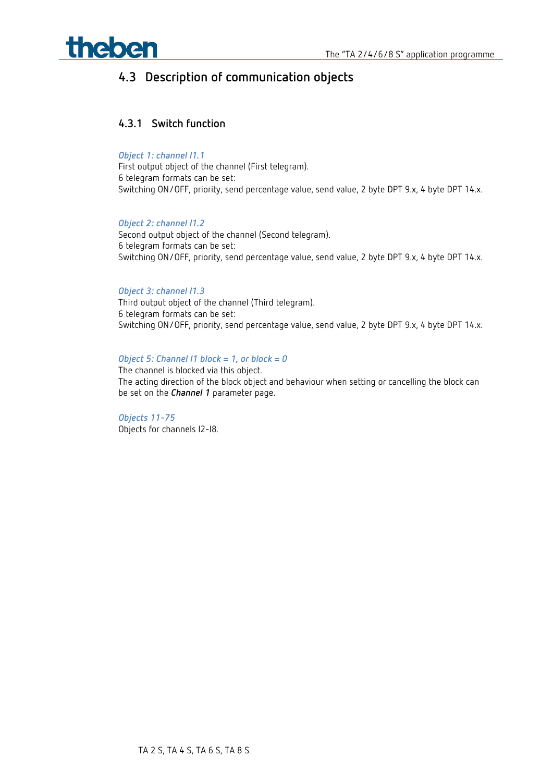

## <span id="page-13-0"></span>**4.3 Description of communication objects**

#### **4.3.1 Switch function**

#### *Object 1: channel I1.1*

First output object of the channel (First telegram). 6 telegram formats can be set: Switching ON/OFF, priority, send percentage value, send value, 2 byte DPT 9.x, 4 byte DPT 14.x.

#### *Object 2: channel I1.2*

Second output object of the channel (Second telegram). 6 telegram formats can be set: Switching ON/OFF, priority, send percentage value, send value, 2 byte DPT 9.x, 4 byte DPT 14.x.

#### *Object 3: channel I1.3*

Third output object of the channel (Third telegram). 6 telegram formats can be set: Switching ON/OFF, priority, send percentage value, send value, 2 byte DPT 9.x, 4 byte DPT 14.x.

#### *Object 5: Channel I1 block = 1, or block = 0*

The channel is blocked via this object. The acting direction of the block object and behaviour when setting or cancelling the block can be set on the *Channel 1* parameter page.

#### *Objects 11-75*

Objects for channels I2-I8.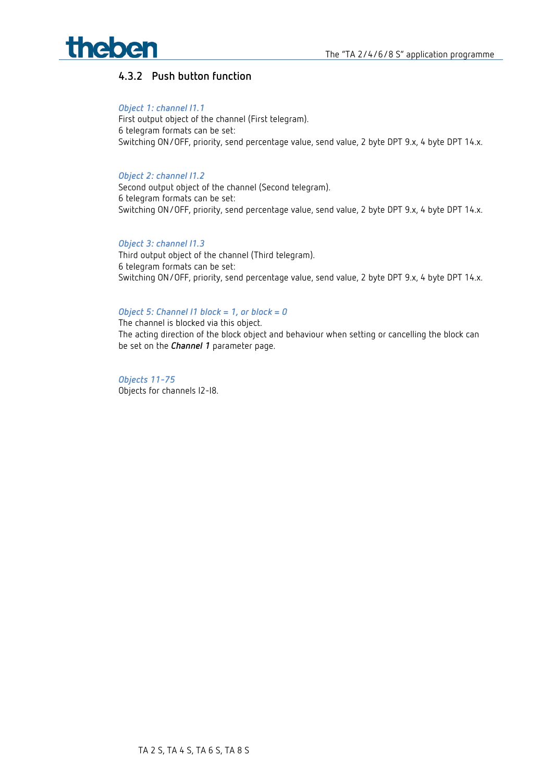# theben

## **4.3.2 Push button function**

#### *Object 1: channel I1.1*

First output object of the channel (First telegram). 6 telegram formats can be set: Switching ON/OFF, priority, send percentage value, send value, 2 byte DPT 9.x, 4 byte DPT 14.x.

#### *Object 2: channel I1.2*

Second output object of the channel (Second telegram). 6 telegram formats can be set: Switching ON/OFF, priority, send percentage value, send value, 2 byte DPT 9.x, 4 byte DPT 14.x.

#### *Object 3: channel I1.3*

Third output object of the channel (Third telegram). 6 telegram formats can be set: Switching ON/OFF, priority, send percentage value, send value, 2 byte DPT 9.x, 4 byte DPT 14.x.

#### *Object 5: Channel I1 block = 1, or block = 0*

The channel is blocked via this object. The acting direction of the block object and behaviour when setting or cancelling the block can be set on the *Channel 1* parameter page.

*Objects 11-75* Objects for channels I2-I8.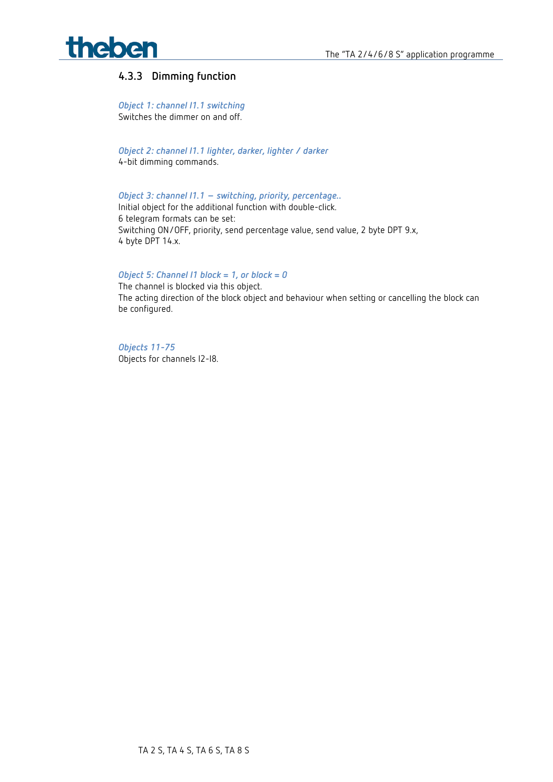

### **4.3.3 Dimming function**

*Object 1: channel I1.1 switching* Switches the dimmer on and off.

*Object 2: channel I1.1 lighter, darker, lighter / darker* 4-bit dimming commands.

*Object 3: channel I1.1 – switching, priority, percentage..*

Initial object for the additional function with double-click. 6 telegram formats can be set: Switching ON/OFF, priority, send percentage value, send value, 2 byte DPT 9.x, 4 byte DPT 14.x.

#### *Object 5: Channel I1 block = 1, or block = 0*

The channel is blocked via this object. The acting direction of the block object and behaviour when setting or cancelling the block can be configured.

*Objects 11-75* Objects for channels I2-I8.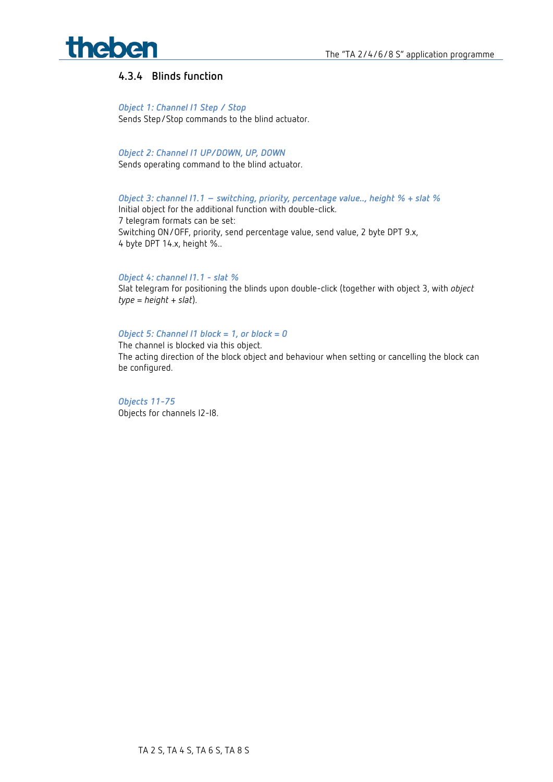

#### **4.3.4 Blinds function**

#### *Object 1: Channel I1 Step / Stop*

Sends Step/Stop commands to the blind actuator.

*Object 2: Channel I1 UP/DOWN, UP, DOWN*

Sends operating command to the blind actuator.

*Object 3: channel I1.1 – switching, priority, percentage value.., height % + slat %* Initial object for the additional function with double-click. 7 telegram formats can be set:

Switching ON/OFF, priority, send percentage value, send value, 2 byte DPT 9.x, 4 byte DPT 14.x, height %..

#### *Object 4: channel I1.1 - slat %*

Slat telegram for positioning the blinds upon double-click (together with object 3, with *object type* = *height* + *slat*).

#### *Object 5: Channel I1 block = 1, or block = 0*

The channel is blocked via this object. The acting direction of the block object and behaviour when setting or cancelling the block can be configured.

*Objects 11-75* Objects for channels I2-I8.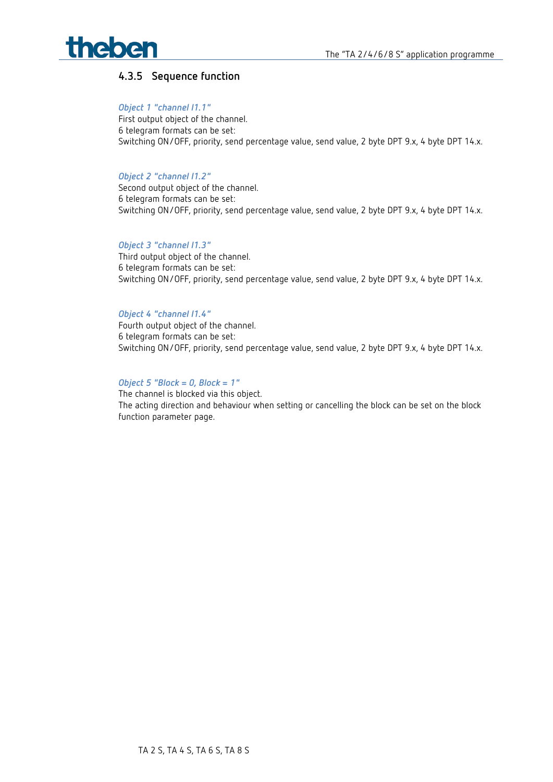

#### **4.3.5 Sequence function**

#### *Object 1 "channel I1.1"*

First output object of the channel. 6 telegram formats can be set: Switching ON/OFF, priority, send percentage value, send value, 2 byte DPT 9.x, 4 byte DPT 14.x.

#### *Object 2 "channel I1.2"*

Second output object of the channel. 6 telegram formats can be set: Switching ON/OFF, priority, send percentage value, send value, 2 byte DPT 9.x, 4 byte DPT 14.x.

#### *Object 3 "channel I1.3"*

Third output object of the channel. 6 telegram formats can be set: Switching ON/OFF, priority, send percentage value, send value, 2 byte DPT 9.x, 4 byte DPT 14.x.

#### *Object 4 "channel I1.4"*

Fourth output object of the channel. 6 telegram formats can be set: Switching ON/OFF, priority, send percentage value, send value, 2 byte DPT 9.x, 4 byte DPT 14.x.

#### *Object 5 "Block = 0, Block = 1"*

The channel is blocked via this object. The acting direction and behaviour when setting or cancelling the block can be set on the block function parameter page.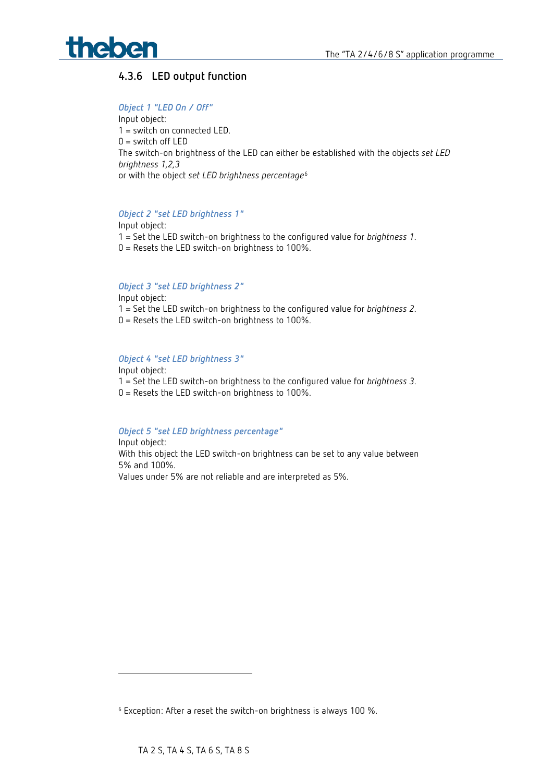

## **4.3.6 LED output function**

#### *Object 1 "LED On / Off"*

Input object: 1 = switch on connected LED.  $0 =$  switch off LED The switch-on brightness of the LED can either be established with the objects *set LED brightness 1,2,3* or with the object *set LED brightness percentage*[6](#page-18-0)

#### *Object 2 "set LED brightness 1"*

Input object: 1 = Set the LED switch-on brightness to the configured value for *brightness 1*. 0 = Resets the LED switch-on brightness to 100%.

#### *Object 3 "set LED brightness 2"*

Input object: 1 = Set the LED switch-on brightness to the configured value for *brightness 2*. 0 = Resets the LED switch-on brightness to 100%.

#### *Object 4 "set LED brightness 3"*

Input object: 1 = Set the LED switch-on brightness to the configured value for *brightness 3*. 0 = Resets the LED switch-on brightness to 100%.

#### *Object 5 "set LED brightness percentage"*

Input object: With this object the LED switch-on brightness can be set to any value between 5% and 100%. Values under 5% are not reliable and are interpreted as 5%.

-

<span id="page-18-0"></span><sup>6</sup> Exception: After a reset the switch-on brightness is always 100 %.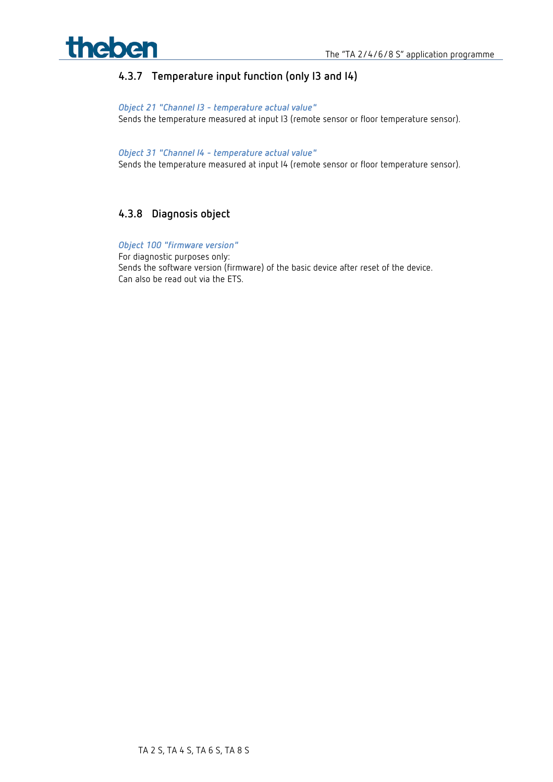

## **4.3.7 Temperature input function (only I3 and I4)**

*Object 21 "Channel I3 - temperature actual value"*  Sends the temperature measured at input I3 (remote sensor or floor temperature sensor).

*Object 31 "Channel I4 - temperature actual value"*  Sends the temperature measured at input I4 (remote sensor or floor temperature sensor).

### **4.3.8 Diagnosis object**

*Object 100 "firmware version"*  For diagnostic purposes only: Sends the software version (firmware) of the basic device after reset of the device. Can also be read out via the ETS.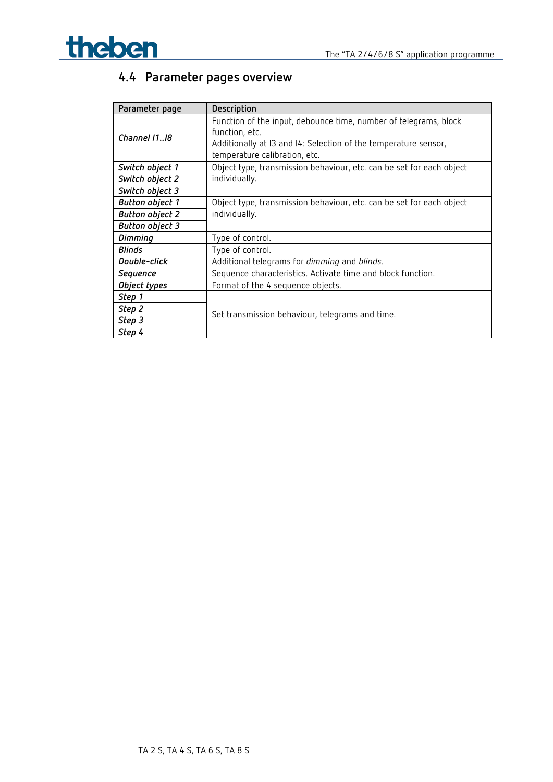

## <span id="page-20-0"></span>**4.4 Parameter pages overview**

| Parameter page         | Description                                                                                                                                                                            |
|------------------------|----------------------------------------------------------------------------------------------------------------------------------------------------------------------------------------|
| Channel 1118           | Function of the input, debounce time, number of telegrams, block<br>function, etc.<br>Additionally at 13 and 14: Selection of the temperature sensor,<br>temperature calibration, etc. |
| Switch object 1        | Object type, transmission behaviour, etc. can be set for each object                                                                                                                   |
| Switch object 2        | individually.                                                                                                                                                                          |
| Switch object 3        |                                                                                                                                                                                        |
| <b>Button object 1</b> | Object type, transmission behaviour, etc. can be set for each object                                                                                                                   |
| <b>Button object 2</b> | individually.                                                                                                                                                                          |
| <b>Button object 3</b> |                                                                                                                                                                                        |
| <b>Dimming</b>         | Type of control.                                                                                                                                                                       |
| <b>Blinds</b>          | Type of control.                                                                                                                                                                       |
| Double-click           | Additional telegrams for dimming and blinds.                                                                                                                                           |
| Sequence               | Sequence characteristics. Activate time and block function.                                                                                                                            |
| Object types           | Format of the 4 sequence objects.                                                                                                                                                      |
| Step 1                 |                                                                                                                                                                                        |
| Step 2                 |                                                                                                                                                                                        |
| Step 3                 | Set transmission behaviour, telegrams and time.                                                                                                                                        |
| Step 4                 |                                                                                                                                                                                        |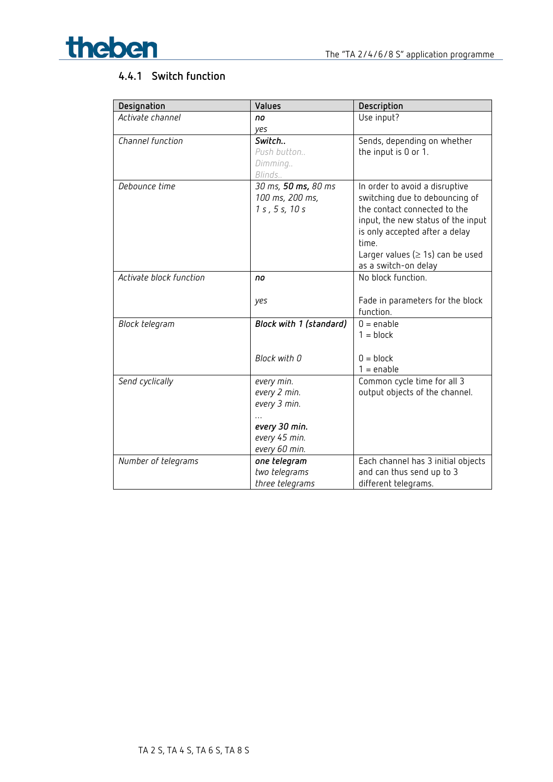



## **4.4.1 Switch function**

| Activate channel<br>Use input?<br>no<br>yes<br>Channel function<br>Sends, depending on whether<br>Switch<br>Push button<br>the input is 0 or 1.<br>Dimming<br>Blinds<br>30 ms, 50 ms, 80 ms<br>Debounce time<br>In order to avoid a disruptive<br>100 ms, 200 ms,<br>switching due to debouncing of<br>the contact connected to the<br>1 s, 5 s, 10 s<br>input, the new status of the input<br>is only accepted after a delay<br>time.<br>Larger values ( $\geq$ 1s) can be used<br>as a switch-on delay<br>No block function.<br>Activate block function<br>no<br>Fade in parameters for the block<br>yes<br>function. | Designation    | Values                  | Description  |
|-------------------------------------------------------------------------------------------------------------------------------------------------------------------------------------------------------------------------------------------------------------------------------------------------------------------------------------------------------------------------------------------------------------------------------------------------------------------------------------------------------------------------------------------------------------------------------------------------------------------------|----------------|-------------------------|--------------|
|                                                                                                                                                                                                                                                                                                                                                                                                                                                                                                                                                                                                                         |                |                         |              |
|                                                                                                                                                                                                                                                                                                                                                                                                                                                                                                                                                                                                                         |                |                         |              |
|                                                                                                                                                                                                                                                                                                                                                                                                                                                                                                                                                                                                                         |                |                         |              |
|                                                                                                                                                                                                                                                                                                                                                                                                                                                                                                                                                                                                                         |                |                         |              |
|                                                                                                                                                                                                                                                                                                                                                                                                                                                                                                                                                                                                                         |                |                         |              |
|                                                                                                                                                                                                                                                                                                                                                                                                                                                                                                                                                                                                                         |                |                         |              |
|                                                                                                                                                                                                                                                                                                                                                                                                                                                                                                                                                                                                                         |                |                         |              |
|                                                                                                                                                                                                                                                                                                                                                                                                                                                                                                                                                                                                                         |                |                         |              |
|                                                                                                                                                                                                                                                                                                                                                                                                                                                                                                                                                                                                                         |                |                         |              |
|                                                                                                                                                                                                                                                                                                                                                                                                                                                                                                                                                                                                                         |                |                         |              |
|                                                                                                                                                                                                                                                                                                                                                                                                                                                                                                                                                                                                                         |                |                         |              |
|                                                                                                                                                                                                                                                                                                                                                                                                                                                                                                                                                                                                                         |                |                         |              |
|                                                                                                                                                                                                                                                                                                                                                                                                                                                                                                                                                                                                                         |                |                         |              |
|                                                                                                                                                                                                                                                                                                                                                                                                                                                                                                                                                                                                                         |                |                         |              |
|                                                                                                                                                                                                                                                                                                                                                                                                                                                                                                                                                                                                                         |                |                         |              |
|                                                                                                                                                                                                                                                                                                                                                                                                                                                                                                                                                                                                                         |                |                         |              |
|                                                                                                                                                                                                                                                                                                                                                                                                                                                                                                                                                                                                                         |                |                         |              |
|                                                                                                                                                                                                                                                                                                                                                                                                                                                                                                                                                                                                                         | Block telegram | Block with 1 (standard) | $0 =$ enable |
| $1 = block$                                                                                                                                                                                                                                                                                                                                                                                                                                                                                                                                                                                                             |                |                         |              |
|                                                                                                                                                                                                                                                                                                                                                                                                                                                                                                                                                                                                                         |                |                         |              |
| Block with 0<br>$0 = block$                                                                                                                                                                                                                                                                                                                                                                                                                                                                                                                                                                                             |                |                         |              |
| $1 =$ enable                                                                                                                                                                                                                                                                                                                                                                                                                                                                                                                                                                                                            |                |                         |              |
| Common cycle time for all 3<br>Send cyclically<br>every min.                                                                                                                                                                                                                                                                                                                                                                                                                                                                                                                                                            |                |                         |              |
| every 2 min.<br>output objects of the channel.                                                                                                                                                                                                                                                                                                                                                                                                                                                                                                                                                                          |                |                         |              |
| every 3 min.                                                                                                                                                                                                                                                                                                                                                                                                                                                                                                                                                                                                            |                |                         |              |
| every 30 min.                                                                                                                                                                                                                                                                                                                                                                                                                                                                                                                                                                                                           |                |                         |              |
| every 45 min.                                                                                                                                                                                                                                                                                                                                                                                                                                                                                                                                                                                                           |                |                         |              |
| every 60 min.                                                                                                                                                                                                                                                                                                                                                                                                                                                                                                                                                                                                           |                |                         |              |
| one telegram<br>Each channel has 3 initial objects<br>Number of telegrams                                                                                                                                                                                                                                                                                                                                                                                                                                                                                                                                               |                |                         |              |
| two telegrams<br>and can thus send up to 3                                                                                                                                                                                                                                                                                                                                                                                                                                                                                                                                                                              |                |                         |              |
| different telegrams.<br>three telegrams                                                                                                                                                                                                                                                                                                                                                                                                                                                                                                                                                                                 |                |                         |              |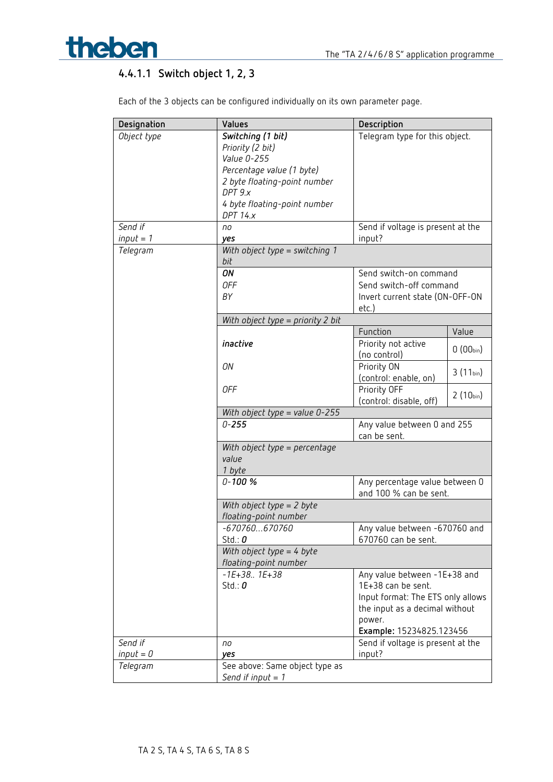

## **4.4.1.1 Switch object 1, 2, 3**

Each of the 3 objects can be configured individually on its own parameter page.

| Designation            | Values                                  | Description                                 |               |
|------------------------|-----------------------------------------|---------------------------------------------|---------------|
| Object type            | Switching (1 bit)                       | Telegram type for this object.              |               |
|                        | Priority (2 bit)                        |                                             |               |
|                        | Value 0-255                             |                                             |               |
|                        | Percentage value (1 byte)               |                                             |               |
|                        | 2 byte floating-point number            |                                             |               |
|                        | DPT 9.x                                 |                                             |               |
|                        | 4 byte floating-point number            |                                             |               |
|                        | <b>DPT 14.x</b>                         |                                             |               |
| Send if<br>$input = 1$ | no                                      | Send if voltage is present at the           |               |
| Telegram               | yes<br>With object type = switching $1$ | input?                                      |               |
|                        | bit                                     |                                             |               |
|                        | ON                                      | Send switch-on command                      |               |
|                        | <b>OFF</b>                              | Send switch-off command                     |               |
|                        | BY                                      | Invert current state (ON-OFF-ON             |               |
|                        |                                         | etc.)                                       |               |
|                        | With object type = priority 2 bit       |                                             |               |
|                        |                                         | Function                                    | Value         |
|                        | inactive                                | Priority not active<br>(no control)         | $0(00_{bin})$ |
|                        | ON                                      | Priority ON                                 | $3(11_{bin})$ |
|                        |                                         | (control: enable, on)                       |               |
|                        | 0FF                                     | Priority OFF                                | $2(10_{bin})$ |
|                        |                                         | (control: disable, off)                     |               |
|                        | With object type = value $0-255$        |                                             |               |
|                        | $0 - 255$                               | Any value between 0 and 255<br>can be sent. |               |
|                        | With object type = percentage           |                                             |               |
|                        | value                                   |                                             |               |
|                        | 1 byte                                  |                                             |               |
|                        | $0 - 100 %$                             | Any percentage value between 0              |               |
|                        | With object type $= 2$ byte             | and 100 % can be sent.                      |               |
|                        | floating-point number                   |                                             |               |
|                        | $-670760670760$                         | Any value between -670760 and               |               |
|                        | Std.: $0$                               | 670760 can be sent.                         |               |
|                        | With object type = $4$ byte             |                                             |               |
|                        | floating-point number                   |                                             |               |
|                        | $-1E+38.$ . $1E+38$                     | Any value between -1E+38 and                |               |
|                        | Std.: $0$                               | 1E+38 can be sent.                          |               |
|                        |                                         | Input format: The ETS only allows           |               |
|                        |                                         | the input as a decimal without              |               |
|                        |                                         | power.                                      |               |
|                        |                                         | Example: 15234825.123456                    |               |
| Send if                | no                                      | Send if voltage is present at the           |               |
| $input = 0$            | yes                                     | input?                                      |               |
| Telegram               | See above: Same object type as          |                                             |               |
|                        | Send if input $= 1$                     |                                             |               |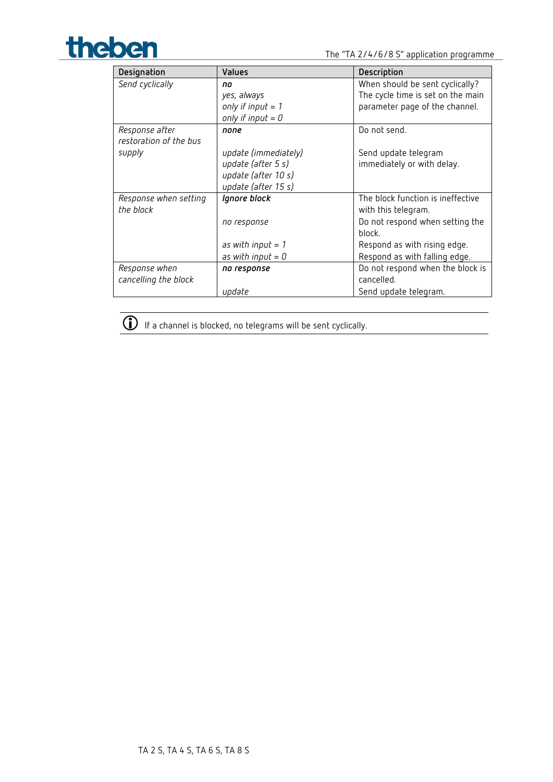

| Designation            | <b>Values</b>        | Description                       |
|------------------------|----------------------|-----------------------------------|
| Send cyclically        | no                   | When should be sent cyclically?   |
|                        | yes, always          | The cycle time is set on the main |
|                        | only if input $= 1$  | parameter page of the channel.    |
|                        | only if input $= 0$  |                                   |
| Response after         | none                 | Do not send.                      |
| restoration of the bus |                      |                                   |
| supply                 | update (immediately) | Send update telegram              |
|                        | update (after 5 s)   | immediately or with delay.        |
|                        | update (after 10 s)  |                                   |
|                        | update (after 15 s)  |                                   |
| Response when setting  | Ignore block         | The block function is ineffective |
| the block              |                      | with this telegram.               |
|                        | no response          | Do not respond when setting the   |
|                        |                      | block.                            |
|                        | as with input $= 1$  | Respond as with rising edge.      |
|                        | as with input $= 0$  | Respond as with falling edge.     |
| Response when          | no response          | Do not respond when the block is  |
| cancelling the block   |                      | cancelled.                        |
|                        | update               | Send update telegram.             |



 $\overline{\mathbb{O}}$  If a channel is blocked, no telegrams will be sent cyclically.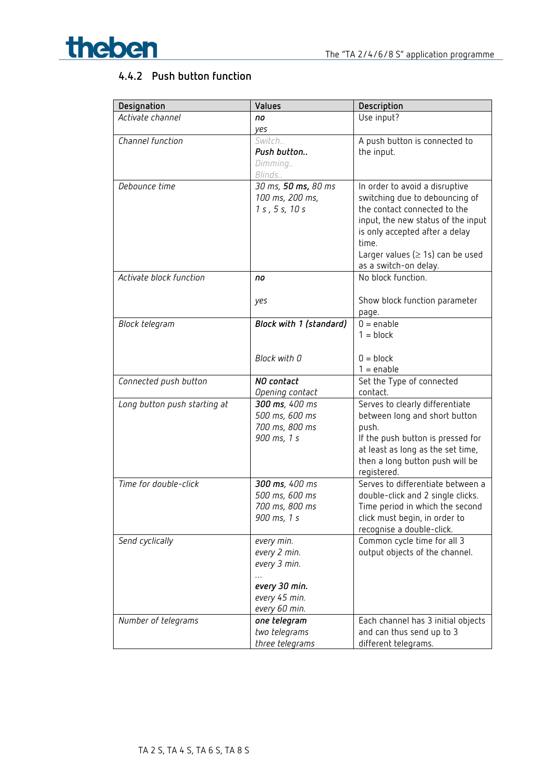

## **4.4.2 Push button function**

| Designation                  | Values                                     | Description                                                      |
|------------------------------|--------------------------------------------|------------------------------------------------------------------|
| Activate channel             | no                                         | Use input?                                                       |
|                              | yes                                        |                                                                  |
| Channel function             | Switch                                     | A push button is connected to                                    |
|                              | Push button                                | the input.                                                       |
|                              | Dimming                                    |                                                                  |
|                              | Blinds<br>$\overline{30}$ ms, 50 ms, 80 ms |                                                                  |
| Debounce time                | 100 ms, 200 ms,                            | In order to avoid a disruptive<br>switching due to debouncing of |
|                              | 1 s, 5 s, 10 s                             | the contact connected to the                                     |
|                              |                                            | input, the new status of the input                               |
|                              |                                            | is only accepted after a delay                                   |
|                              |                                            | time.                                                            |
|                              |                                            | Larger values ( $\geq$ 1s) can be used                           |
|                              |                                            | as a switch-on delay.                                            |
| Activate block function      | no                                         | No block function.                                               |
|                              |                                            |                                                                  |
|                              | yes                                        | Show block function parameter                                    |
|                              |                                            | page.                                                            |
| Block telegram               | Block with 1 (standard)                    | $0 =$ enable                                                     |
|                              |                                            | $1 = block$                                                      |
|                              | Block with 0                               | $0 = block$                                                      |
|                              |                                            | $1 =$ enable                                                     |
| Connected push button        | NO contact                                 | Set the Type of connected                                        |
|                              | Opening contact                            | contact.                                                         |
| Long button push starting at | 300 ms, 400 ms                             | Serves to clearly differentiate                                  |
|                              | 500 ms, 600 ms                             | between long and short button                                    |
|                              | 700 ms, 800 ms                             | push.                                                            |
|                              | 900 ms, 1 s                                | If the push button is pressed for                                |
|                              |                                            | at least as long as the set time,                                |
|                              |                                            | then a long button push will be                                  |
| Time for double-click        | 300 ms, 400 ms                             | registered.<br>Serves to differentiate between a                 |
|                              | 500 ms, 600 ms                             | double-click and 2 single clicks.                                |
|                              | 700 ms, 800 ms                             | Time period in which the second                                  |
|                              | 900 ms, 1 s                                | click must begin, in order to                                    |
|                              |                                            | recognise a double-click.                                        |
| Send cyclically              | every min.                                 | Common cycle time for all 3                                      |
|                              | every 2 min.                               | output objects of the channel.                                   |
|                              | every 3 min.                               |                                                                  |
|                              |                                            |                                                                  |
|                              | every 30 min.                              |                                                                  |
|                              | every 45 min.                              |                                                                  |
|                              | every 60 min.<br>one telegram              |                                                                  |
| Number of telegrams          | two telegrams                              | Each channel has 3 initial objects<br>and can thus send up to 3  |
|                              | three telegrams                            | different telegrams.                                             |
|                              |                                            |                                                                  |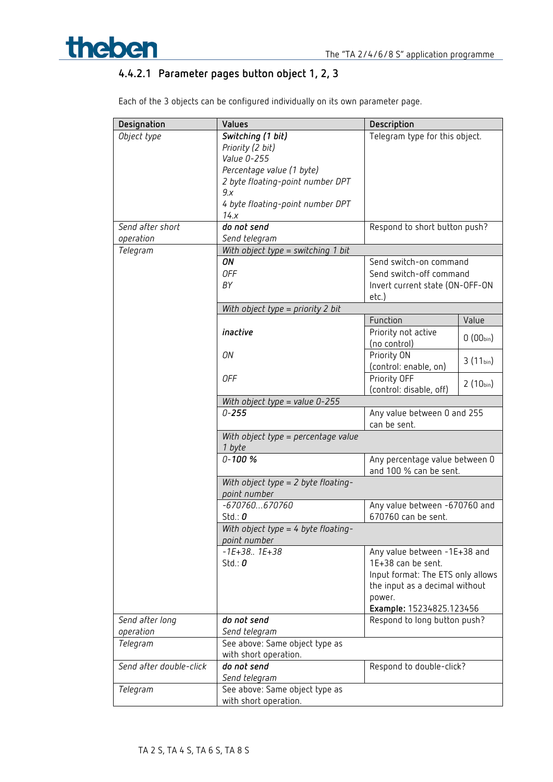## **4.4.2.1 Parameter pages button object 1, 2, 3**

| Designation             | Values                                        | Description                       |               |
|-------------------------|-----------------------------------------------|-----------------------------------|---------------|
| Object type             | Switching (1 bit)                             | Telegram type for this object.    |               |
|                         | Priority (2 bit)                              |                                   |               |
|                         | Value 0-255                                   |                                   |               |
|                         | Percentage value (1 byte)                     |                                   |               |
|                         | 2 byte floating-point number DPT              |                                   |               |
|                         | 9x                                            |                                   |               |
|                         | 4 byte floating-point number DPT              |                                   |               |
|                         | 14.x                                          |                                   |               |
| Send after short        | do not send                                   | Respond to short button push?     |               |
| operation               | Send telegram                                 |                                   |               |
| Telegram                | With object type = switching 1 bit            |                                   |               |
|                         | ON                                            | Send switch-on command            |               |
|                         | <b>OFF</b>                                    | Send switch-off command           |               |
|                         | BΥ                                            | Invert current state (ON-OFF-ON   |               |
|                         |                                               | etc.)                             |               |
|                         | With object type = priority 2 bit             |                                   |               |
|                         |                                               | Function                          | Value         |
|                         | inactive                                      | Priority not active               |               |
|                         |                                               | (no control)                      | $0(00_{bin})$ |
|                         | ON                                            | Priority ON                       |               |
|                         |                                               | (control: enable, on)             | $3(11_{bin})$ |
|                         | 0FF                                           | Priority OFF                      |               |
|                         |                                               | (control: disable, off)           | $2(10_{bin})$ |
|                         | With object type = value $0-255$              |                                   |               |
|                         | $0 - 255$                                     | Any value between 0 and 255       |               |
|                         |                                               | can be sent.                      |               |
|                         |                                               |                                   |               |
|                         | With object type = percentage value<br>1 byte |                                   |               |
|                         | $0 - 100 %$                                   | Any percentage value between 0    |               |
|                         |                                               | and 100 % can be sent.            |               |
|                         | With object type = 2 byte floating-           |                                   |               |
|                         | point number                                  |                                   |               |
|                         | $-670760670760$                               | Any value between -670760 and     |               |
|                         | Std.: $\boldsymbol{0}$                        | 670760 can be sent.               |               |
|                         | With object type = 4 byte floating-           |                                   |               |
|                         | point number                                  |                                   |               |
|                         | $-1E+38.$ . $1E+38$                           | Any value between -1E+38 and      |               |
|                         | Std.: $0$                                     | 1E+38 can be sent.                |               |
|                         |                                               | Input format: The ETS only allows |               |
|                         |                                               | the input as a decimal without    |               |
|                         |                                               | power.                            |               |
|                         |                                               | Example: 15234825.123456          |               |
| Send after long         | do not send                                   | Respond to long button push?      |               |
| operation               | Send telegram                                 |                                   |               |
| Telegram                | See above: Same object type as                |                                   |               |
|                         | with short operation.                         |                                   |               |
| Send after double-click | do not send                                   | Respond to double-click?          |               |
|                         | Send telegram                                 |                                   |               |
| Telegram                | See above: Same object type as                |                                   |               |
|                         | with short operation.                         |                                   |               |

Each of the 3 objects can be configured individually on its own parameter page.

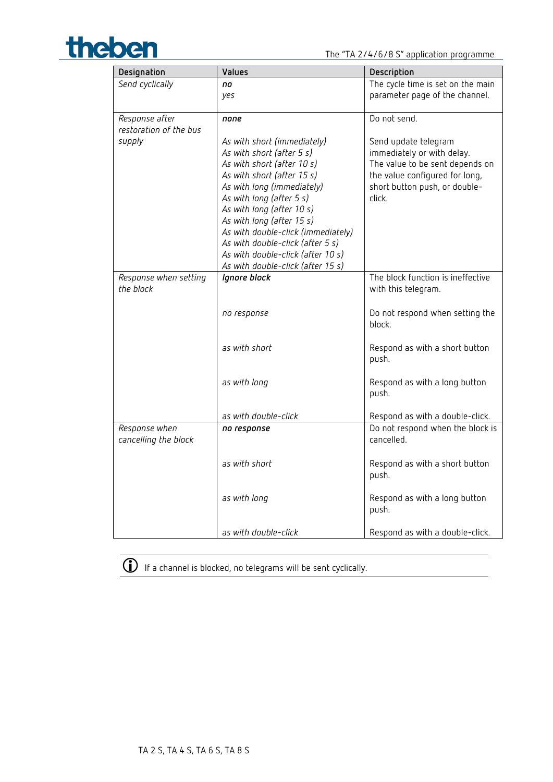



| Designation            | Values                                                          | Description                            |
|------------------------|-----------------------------------------------------------------|----------------------------------------|
| Send cyclically        | no                                                              | The cycle time is set on the main      |
|                        | yes                                                             | parameter page of the channel.         |
|                        |                                                                 |                                        |
| Response after         | none                                                            | Do not send.                           |
| restoration of the bus |                                                                 |                                        |
| supply                 | As with short (immediately)                                     | Send update telegram                   |
|                        | As with short (after 5 s)                                       | immediately or with delay.             |
|                        | As with short (after 10 s)                                      | The value to be sent depends on        |
|                        | As with short (after 15 s)                                      | the value configured for long,         |
|                        | As with long (immediately)                                      | short button push, or double-          |
|                        | As with long (after 5 s)                                        | click.                                 |
|                        | As with long (after 10 s)                                       |                                        |
|                        | As with long (after 15 s)<br>As with double-click (immediately) |                                        |
|                        | As with double-click (after 5 s)                                |                                        |
|                        | As with double-click (after 10 s)                               |                                        |
|                        | As with double-click (after 15 s)                               |                                        |
| Response when setting  | Ignore block                                                    | The block function is ineffective      |
| the block              |                                                                 | with this telegram.                    |
|                        |                                                                 |                                        |
|                        | no response                                                     | Do not respond when setting the        |
|                        |                                                                 | block.                                 |
|                        |                                                                 |                                        |
|                        | as with short                                                   | Respond as with a short button         |
|                        |                                                                 | push.                                  |
|                        |                                                                 |                                        |
|                        | as with long                                                    | Respond as with a long button          |
|                        |                                                                 | push.                                  |
|                        |                                                                 |                                        |
|                        | as with double-click                                            | Respond as with a double-click.        |
| Response when          | no response                                                     | Do not respond when the block is       |
| cancelling the block   |                                                                 | cancelled.                             |
|                        |                                                                 |                                        |
|                        | as with short                                                   | Respond as with a short button         |
|                        |                                                                 | push.                                  |
|                        |                                                                 |                                        |
|                        | as with long                                                    | Respond as with a long button<br>push. |
|                        |                                                                 |                                        |
|                        | as with double-click                                            | Respond as with a double-click.        |



 $\overline{\mathbb{O}}$  If a channel is blocked, no telegrams will be sent cyclically.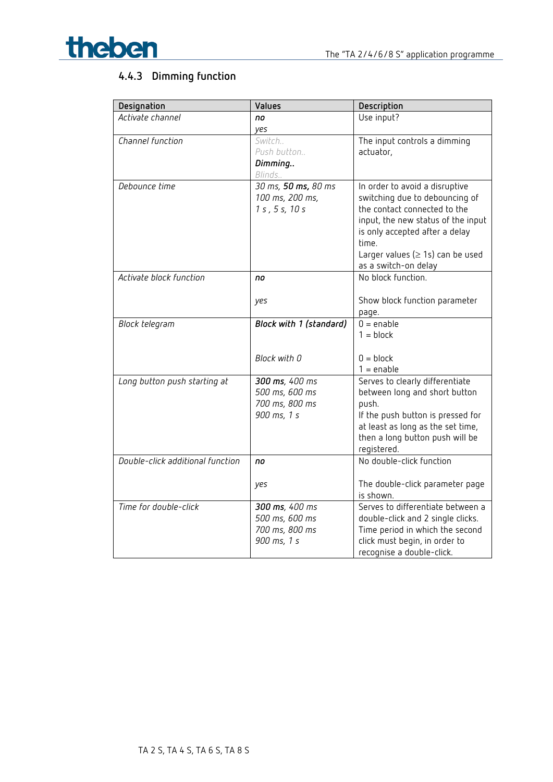

## **4.4.3 Dimming function**

| Designation                      | Values                                                            | Description                                                                                                                                                                                                                                         |
|----------------------------------|-------------------------------------------------------------------|-----------------------------------------------------------------------------------------------------------------------------------------------------------------------------------------------------------------------------------------------------|
| Activate channel                 | no                                                                | Use input?                                                                                                                                                                                                                                          |
|                                  | yes                                                               |                                                                                                                                                                                                                                                     |
| Channel function                 | Switch<br>Push button<br>Dimming<br>Blinds                        | The input controls a dimming<br>actuator,                                                                                                                                                                                                           |
| Debounce time                    | 30 ms, 50 ms, 80 ms<br>100 ms, 200 ms,<br>1 s, 5 s, 10 s          | In order to avoid a disruptive<br>switching due to debouncing of<br>the contact connected to the<br>input, the new status of the input<br>is only accepted after a delay<br>time.<br>Larger values ( $\geq$ 1s) can be used<br>as a switch-on delay |
| Activate block function          | no<br>yes                                                         | No block function.<br>Show block function parameter<br>page.                                                                                                                                                                                        |
| Block telegram                   | Block with 1 (standard)<br>Block with 0                           | $0 =$ enable<br>$1 = block$<br>$0 = block$<br>$1 =$ enable                                                                                                                                                                                          |
| Long button push starting at     | 300 ms, 400 ms<br>500 ms, 600 ms<br>700 ms, 800 ms<br>900 ms, 1 s | Serves to clearly differentiate<br>between long and short button<br>push.<br>If the push button is pressed for<br>at least as long as the set time,<br>then a long button push will be<br>registered.                                               |
| Double-click additional function | no<br>yes                                                         | No double-click function<br>The double-click parameter page<br>is shown.                                                                                                                                                                            |
| Time for double-click            | 300 ms, 400 ms<br>500 ms, 600 ms<br>700 ms, 800 ms<br>900 ms, 1 s | Serves to differentiate between a<br>double-click and 2 single clicks.<br>Time period in which the second<br>click must begin, in order to<br>recognise a double-click.                                                                             |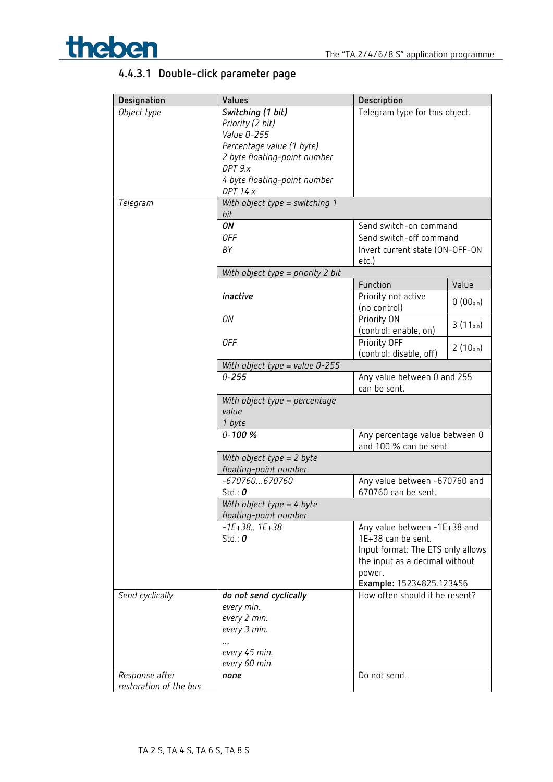

## **4.4.3.1 Double-click parameter page**

| Designation            | Values                                 | Description                                              |               |
|------------------------|----------------------------------------|----------------------------------------------------------|---------------|
| Object type            | Switching (1 bit)                      | Telegram type for this object.                           |               |
|                        | Priority (2 bit)                       |                                                          |               |
|                        | Value 0-255                            |                                                          |               |
|                        | Percentage value (1 byte)              |                                                          |               |
|                        | 2 byte floating-point number           |                                                          |               |
|                        | DPT 9.x                                |                                                          |               |
|                        | 4 byte floating-point number           |                                                          |               |
|                        | <b>DPT 14.x</b>                        |                                                          |               |
| Telegram               | With object type = switching 1<br>bit  |                                                          |               |
|                        | ON                                     | Send switch-on command                                   |               |
|                        | <b>OFF</b>                             | Send switch-off command                                  |               |
|                        | BY                                     | Invert current state (ON-OFF-ON                          |               |
|                        |                                        | etc.)                                                    |               |
|                        | With object type = priority 2 bit      |                                                          |               |
|                        |                                        | Function                                                 | Value         |
|                        | inactive                               | Priority not active                                      |               |
|                        |                                        | (no control)                                             | $0(00_{bin})$ |
|                        | ON                                     | Priority ON                                              |               |
|                        |                                        | (control: enable, on)                                    | $3(11_{bin})$ |
|                        | <b>OFF</b>                             | Priority OFF                                             |               |
|                        |                                        | (control: disable, off)                                  | $2(10_{bin})$ |
|                        | With object type = value $0-255$       |                                                          |               |
|                        | $0 - 255$                              | Any value between 0 and 255                              |               |
|                        |                                        | can be sent.                                             |               |
|                        | With object type = percentage<br>value |                                                          |               |
|                        | 1 byte                                 |                                                          |               |
|                        | $0 - 100 %$                            | Any percentage value between 0<br>and 100 % can be sent. |               |
|                        | With object type $= 2$ byte            |                                                          |               |
|                        | floating-point number                  |                                                          |               |
|                        | $-670760670760$                        | Any value between -670760 and                            |               |
|                        | Std.: $0$                              | 670760 can be sent.                                      |               |
|                        | With object type = 4 byte              |                                                          |               |
|                        | floating-point number                  |                                                          |               |
|                        | $-1E+38.$ . $1E+38$                    | Any value between -1E+38 and                             |               |
|                        | Std.: $0$                              | 1E+38 can be sent.                                       |               |
|                        |                                        | Input format: The ETS only allows                        |               |
|                        |                                        | the input as a decimal without                           |               |
|                        |                                        | power.                                                   |               |
|                        |                                        | Example: 15234825.123456                                 |               |
| Send cyclically        | do not send cyclically                 | How often should it be resent?                           |               |
|                        | every min.                             |                                                          |               |
|                        | every 2 min.                           |                                                          |               |
|                        | every 3 min.                           |                                                          |               |
|                        |                                        |                                                          |               |
|                        | every 45 min.                          |                                                          |               |
|                        | every 60 min.                          |                                                          |               |
| Response after         | none                                   | Do not send.                                             |               |
| restoration of the bus |                                        |                                                          |               |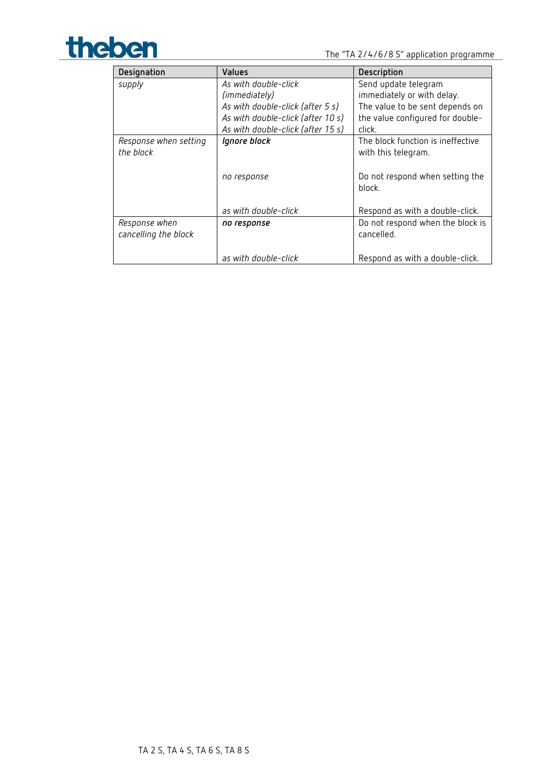

| Designation           | <b>Values</b>                     | Description                       |
|-----------------------|-----------------------------------|-----------------------------------|
| supply                | As with double-click              | Send update telegram              |
|                       | (immediately)                     | immediately or with delay.        |
|                       | As with double-click (after 5 s)  | The value to be sent depends on   |
|                       | As with double-click (after 10 s) | the value configured for double-  |
|                       | As with double-click (after 15 s) | click.                            |
| Response when setting | Ignore block                      | The block function is ineffective |
| the block             |                                   | with this telegram.               |
|                       |                                   |                                   |
|                       | no response                       | Do not respond when setting the   |
|                       |                                   | block.                            |
|                       |                                   |                                   |
|                       | as with double-click              | Respond as with a double-click.   |
| Response when         | no response                       | Do not respond when the block is  |
| cancelling the block  |                                   | cancelled.                        |
|                       |                                   |                                   |
|                       | as with double-click              | Respond as with a double-click.   |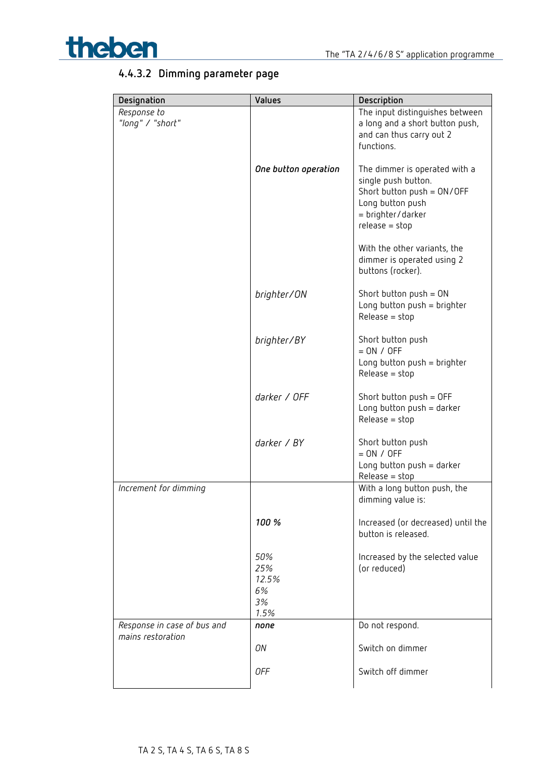

## **4.4.3.2 Dimming parameter page**

| Designation                                      | Values                                  | Description                                                                                                                                       |
|--------------------------------------------------|-----------------------------------------|---------------------------------------------------------------------------------------------------------------------------------------------------|
| Response to<br>"long" / "short"                  |                                         | The input distinguishes between<br>a long and a short button push,<br>and can thus carry out 2<br>functions.                                      |
|                                                  | One button operation                    | The dimmer is operated with a<br>single push button.<br>Short button $push = ON/OFF$<br>Long button push<br>= brighter/darker<br>$release = stop$ |
|                                                  |                                         | With the other variants, the<br>dimmer is operated using 2<br>buttons (rocker).                                                                   |
|                                                  | brighter/ON                             | Short button $push = ON$<br>Long button $push = brighter$<br>$Release = stop$                                                                     |
|                                                  | brighter/BY                             | Short button push<br>$= ON / OFF$<br>Long button push = brighter<br>$Release = stop$                                                              |
|                                                  | darker / OFF                            | Short button $push = OFF$<br>Long button $push = darker$<br>$Release = stop$                                                                      |
|                                                  | darker / BY                             | Short button push<br>$= ON / OFF$<br>Long button $push = darker$<br>$Release = stop$                                                              |
| Increment for dimming                            |                                         | With a long button push, the<br>dimming value is:                                                                                                 |
|                                                  | 100 %                                   | Increased (or decreased) until the<br>button is released.                                                                                         |
|                                                  | 50%<br>25%<br>12.5%<br>6%<br>3%<br>1.5% | Increased by the selected value<br>(or reduced)                                                                                                   |
| Response in case of bus and<br>mains restoration | none                                    | Do not respond.                                                                                                                                   |
|                                                  | ON<br>0FF                               | Switch on dimmer<br>Switch off dimmer                                                                                                             |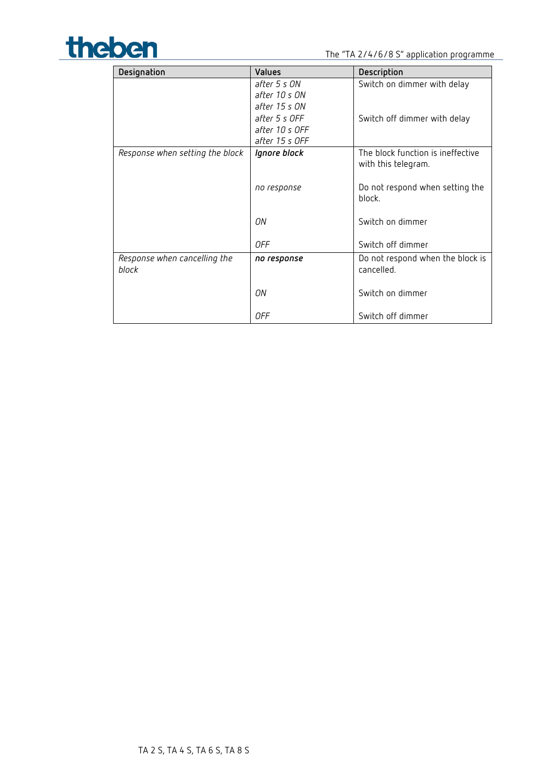

| Designation                     | Values         | Description                       |
|---------------------------------|----------------|-----------------------------------|
|                                 | after 5 s ON   | Switch on dimmer with delay       |
|                                 | after 10 s ON  |                                   |
|                                 | after 15 s ON  |                                   |
|                                 | after 5 s OFF  | Switch off dimmer with delay      |
|                                 | after 10 s OFF |                                   |
|                                 | after 15 s OFF |                                   |
| Response when setting the block | Ignore block   | The block function is ineffective |
|                                 |                | with this telegram.               |
|                                 | no response    | Do not respond when setting the   |
|                                 |                | block.                            |
|                                 |                |                                   |
|                                 | ΟN             | Switch on dimmer                  |
|                                 |                |                                   |
|                                 | 0FF            | Switch off dimmer                 |
| Response when cancelling the    | no response    | Do not respond when the block is  |
| block                           |                | cancelled.                        |
|                                 | ΟN             | Switch on dimmer                  |
|                                 |                |                                   |
|                                 | 0FF            | Switch off dimmer                 |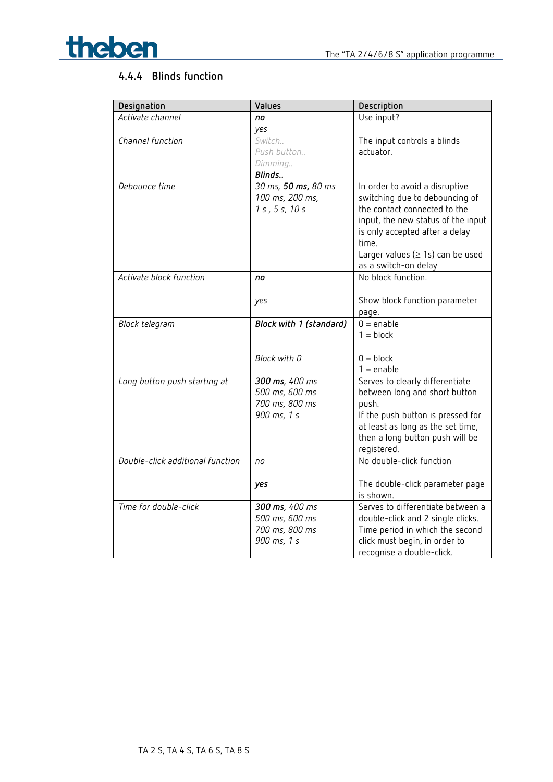

## **4.4.4 Blinds function**

| Activate channel<br>Use input?<br>no<br>yes<br>Channel function<br>Switch<br>The input controls a blinds<br>Push button<br>actuator.<br>Dimming<br>Blinds |
|-----------------------------------------------------------------------------------------------------------------------------------------------------------|
|                                                                                                                                                           |
|                                                                                                                                                           |
|                                                                                                                                                           |
|                                                                                                                                                           |
|                                                                                                                                                           |
|                                                                                                                                                           |
| Debounce time<br>30 ms, 50 ms, 80 ms<br>In order to avoid a disruptive                                                                                    |
| 100 ms, 200 ms,<br>switching due to debouncing of                                                                                                         |
| 1 s, 5 s, 10 s<br>the contact connected to the                                                                                                            |
| input, the new status of the input                                                                                                                        |
| is only accepted after a delay                                                                                                                            |
| time.                                                                                                                                                     |
| Larger values ( $\geq$ 1s) can be used                                                                                                                    |
| as a switch-on delay                                                                                                                                      |
| No block function.<br>Activate block function<br>no                                                                                                       |
|                                                                                                                                                           |
| Show block function parameter<br>yes                                                                                                                      |
| page.                                                                                                                                                     |
| $0 =$ enable<br>Block with 1 (standard)<br>Block telegram                                                                                                 |
| $1 = block$                                                                                                                                               |
|                                                                                                                                                           |
| Block with 0<br>$0 = block$                                                                                                                               |
| $1 =$ enable                                                                                                                                              |
| Serves to clearly differentiate<br>300 ms, 400 ms<br>Long button push starting at                                                                         |
| 500 ms, 600 ms<br>between long and short button                                                                                                           |
| 700 ms, 800 ms<br>push.                                                                                                                                   |
| 900 ms, 1 s<br>If the push button is pressed for                                                                                                          |
| at least as long as the set time,<br>then a long button push will be                                                                                      |
| registered.                                                                                                                                               |
| No double-click function<br>Double-click additional function<br>no                                                                                        |
|                                                                                                                                                           |
| The double-click parameter page<br>yes                                                                                                                    |
| is shown.                                                                                                                                                 |
| Time for double-click<br>Serves to differentiate between a<br>300 ms, 400 ms                                                                              |
| 500 ms, 600 ms<br>double-click and 2 single clicks.                                                                                                       |
| 700 ms, 800 ms<br>Time period in which the second                                                                                                         |
| 900 ms, 1 s<br>click must begin, in order to                                                                                                              |
| recognise a double-click.                                                                                                                                 |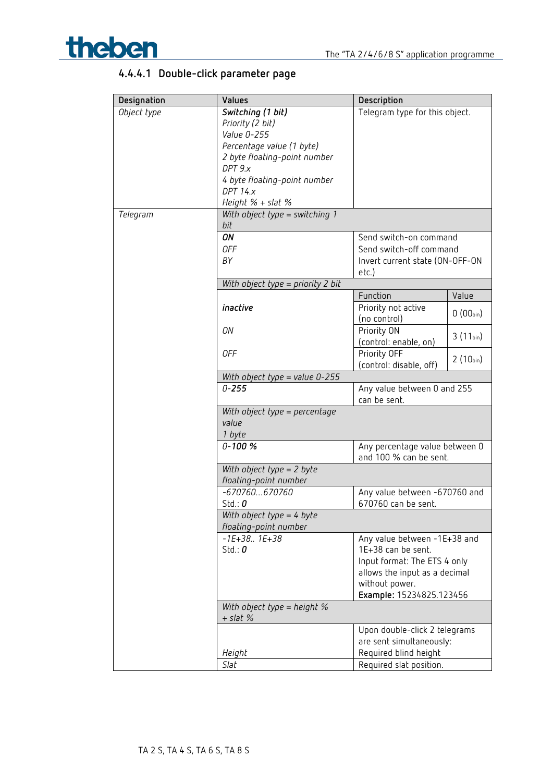

## **4.4.4.1 Double-click parameter page**

| Designation | Values                                      | Description                                 |               |
|-------------|---------------------------------------------|---------------------------------------------|---------------|
| Object type | Switching (1 bit)                           | Telegram type for this object.              |               |
|             | Priority (2 bit)                            |                                             |               |
|             | Value 0-255                                 |                                             |               |
|             | Percentage value (1 byte)                   |                                             |               |
|             | 2 byte floating-point number                |                                             |               |
|             | DPT 9.x                                     |                                             |               |
|             | 4 byte floating-point number                |                                             |               |
|             | <b>DPT 14.x</b>                             |                                             |               |
|             | Height $%$ + slat $%$                       |                                             |               |
| Telegram    | With object type = switching 1              |                                             |               |
|             | bit                                         |                                             |               |
|             | ON                                          | Send switch-on command                      |               |
|             | <b>OFF</b>                                  | Send switch-off command                     |               |
|             | BY                                          | Invert current state (ON-OFF-ON             |               |
|             |                                             | etc.)                                       |               |
|             | With object type = priority 2 bit           |                                             |               |
|             |                                             | Function                                    | Value         |
|             | inactive                                    | Priority not active                         | $0(00_{bin})$ |
|             |                                             | (no control)                                |               |
|             | ON                                          | Priority ON                                 | $3(11_{bin})$ |
|             |                                             | (control: enable, on)                       |               |
|             | 0FF                                         | Priority OFF                                | $2(10_{bin})$ |
|             |                                             | (control: disable, off)                     |               |
|             | With object type = value 0-255              |                                             |               |
|             | $0 - 255$                                   | Any value between 0 and 255<br>can be sent. |               |
|             | With object type = percentage               |                                             |               |
|             | value                                       |                                             |               |
|             | 1 byte                                      |                                             |               |
|             | $0 - 100 %$                                 | Any percentage value between 0              |               |
|             |                                             | and 100 % can be sent.                      |               |
|             | With object type $= 2$ byte                 |                                             |               |
|             | floating-point number                       |                                             |               |
|             | $-670760670760$                             | Any value between -670760 and               |               |
|             | Std.: $0$                                   | 670760 can be sent.                         |               |
|             | With object type = 4 byte                   |                                             |               |
|             | floating-point number                       |                                             |               |
|             | $-1E+38.$ . $1E+38$                         | Any value between -1E+38 and                |               |
|             | Std.: $0$                                   | 1E+38 can be sent.                          |               |
|             |                                             | Input format: The ETS 4 only                |               |
|             |                                             | allows the input as a decimal               |               |
|             |                                             | without power.                              |               |
|             |                                             | Example: 15234825.123456                    |               |
|             | With object type = height $%$<br>$+$ slat % |                                             |               |
|             |                                             | Upon double-click 2 telegrams               |               |
|             |                                             | are sent simultaneously:                    |               |
|             | Height                                      | Required blind height                       |               |
|             | Slat                                        | Required slat position.                     |               |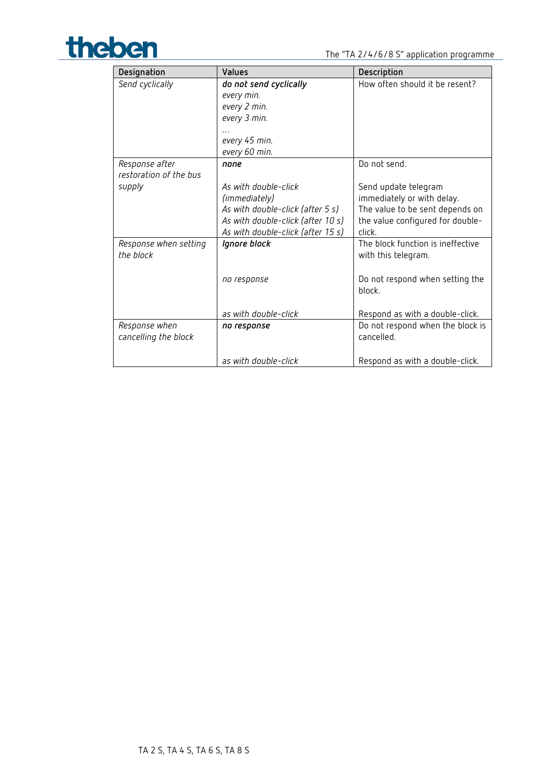

| Designation                           | <b>Values</b>                     | Description                                              |
|---------------------------------------|-----------------------------------|----------------------------------------------------------|
| Send cyclically                       | do not send cyclically            | How often should it be resent?                           |
|                                       | every min.                        |                                                          |
|                                       | every 2 min.                      |                                                          |
|                                       | every 3 min.                      |                                                          |
|                                       |                                   |                                                          |
|                                       | every 45 min.                     |                                                          |
|                                       | every 60 min.                     |                                                          |
| Response after                        | none                              | Do not send.                                             |
| restoration of the bus                |                                   |                                                          |
| supply                                | As with double-click              | Send update telegram                                     |
|                                       | (immediately)                     | immediately or with delay.                               |
|                                       | As with double-click (after 5 s)  | The value to be sent depends on                          |
|                                       | As with double-click (after 10 s) | the value configured for double-                         |
|                                       | As with double-click (after 15 s) | click.                                                   |
| Response when setting<br>the block    | Ignore block                      | The block function is ineffective<br>with this telegram. |
|                                       | no response                       | Do not respond when setting the<br>block.                |
|                                       | as with double-click              | Respond as with a double-click.                          |
| Response when<br>cancelling the block | no response                       | Do not respond when the block is<br>cancelled.           |
|                                       | as with double-click              | Respond as with a double-click.                          |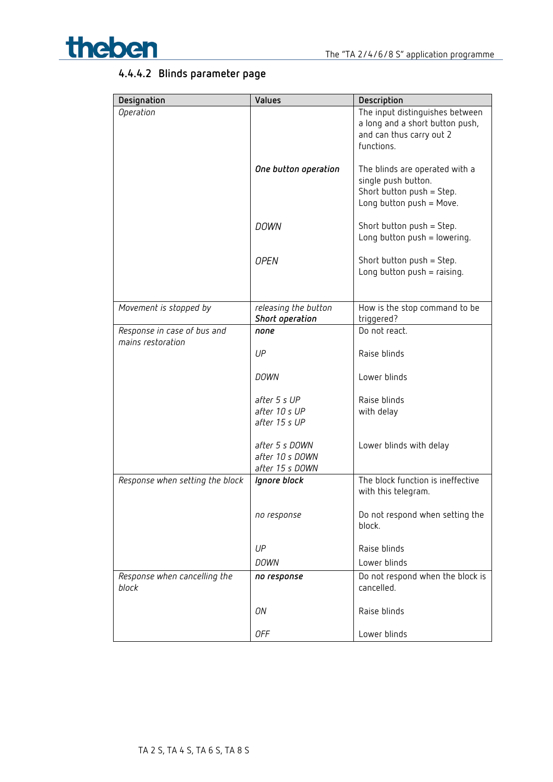

## **4.4.4.2 Blinds parameter page**

| Designation                           | Values                                               | Description                                                                                                    |
|---------------------------------------|------------------------------------------------------|----------------------------------------------------------------------------------------------------------------|
| Operation                             |                                                      | The input distinguishes between<br>a long and a short button push,<br>and can thus carry out 2<br>functions.   |
|                                       | One button operation                                 | The blinds are operated with a<br>single push button.<br>Short button push = Step.<br>Long button push = Move. |
|                                       | <b>DOWN</b>                                          | Short button push = Step.<br>Long button push = lowering.                                                      |
|                                       | <b>OPEN</b>                                          | Short button push = Step.<br>Long button $push = raising$ .                                                    |
| Movement is stopped by                | releasing the button<br>Short operation              | How is the stop command to be<br>triggered?                                                                    |
| Response in case of bus and           | none                                                 | Do not react.                                                                                                  |
| mains restoration                     | UP                                                   | Raise blinds                                                                                                   |
|                                       | <b>DOWN</b>                                          | Lower blinds                                                                                                   |
|                                       | after 5 s UP<br>after 10 s UP<br>after 15 s UP       | Raise blinds<br>with delay                                                                                     |
|                                       | after 5 s DOWN<br>after 10 s DOWN<br>after 15 s DOWN | Lower blinds with delay                                                                                        |
| Response when setting the block       | Ignore block                                         | The block function is ineffective<br>with this telegram.                                                       |
|                                       | no response                                          | Do not respond when setting the<br>block.                                                                      |
|                                       | UP                                                   | Raise blinds                                                                                                   |
|                                       | <b>DOWN</b>                                          | Lower blinds                                                                                                   |
| Response when cancelling the<br>block | no response                                          | Do not respond when the block is<br>cancelled.                                                                 |
|                                       | ON                                                   | Raise blinds                                                                                                   |
|                                       | 0FF                                                  | Lower blinds                                                                                                   |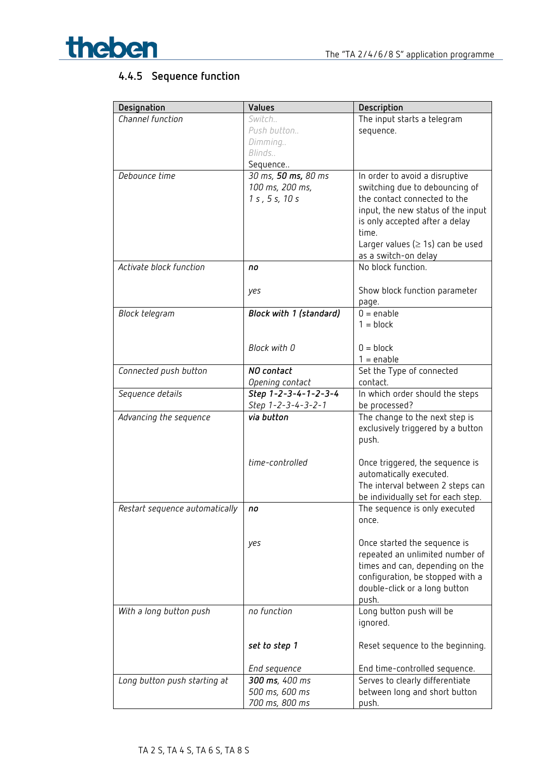

## **4.4.5 Sequence function**

| Designation                    | Values                  | Description                                |
|--------------------------------|-------------------------|--------------------------------------------|
| Channel function               | Switch                  | The input starts a telegram                |
|                                | Push button             | sequence.                                  |
|                                | Dimming                 |                                            |
|                                | Blinds                  |                                            |
|                                | Sequence                |                                            |
| Debounce time                  | 30 ms, 50 ms, 80 ms     | In order to avoid a disruptive             |
|                                | 100 ms, 200 ms,         | switching due to debouncing of             |
|                                | 1 s, 5 s, 10 s          | the contact connected to the               |
|                                |                         | input, the new status of the input         |
|                                |                         | is only accepted after a delay<br>time.    |
|                                |                         | Larger values ( $\geq$ 1s) can be used     |
|                                |                         | as a switch-on delay                       |
| Activate block function        | no                      | No block function.                         |
|                                |                         |                                            |
|                                | yes                     | Show block function parameter              |
|                                |                         | page.                                      |
| Block telegram                 | Block with 1 (standard) | $0 =$ enable                               |
|                                |                         | $1 = block$                                |
|                                |                         |                                            |
|                                | Block with 0            | $0 = block$                                |
|                                |                         | $1 =$ enable                               |
| Connected push button          | NO contact              | Set the Type of connected                  |
|                                | Opening contact         | contact.                                   |
| Sequence details               | Step 1-2-3-4-1-2-3-4    | In which order should the steps            |
|                                | Step 1-2-3-4-3-2-1      | be processed?                              |
| Advancing the sequence         | via button              | The change to the next step is             |
|                                |                         | exclusively triggered by a button<br>push. |
|                                |                         |                                            |
|                                | time-controlled         | Once triggered, the sequence is            |
|                                |                         | automatically executed.                    |
|                                |                         | The interval between 2 steps can           |
|                                |                         | be individually set for each step.         |
| Restart sequence automatically | no                      | The sequence is only executed              |
|                                |                         | once.                                      |
|                                |                         |                                            |
|                                | yes                     | Once started the sequence is               |
|                                |                         | repeated an unlimited number of            |
|                                |                         | times and can, depending on the            |
|                                |                         | configuration, be stopped with a           |
|                                |                         | double-click or a long button              |
|                                |                         | push.                                      |
| With a long button push        | no function             | Long button push will be<br>ignored.       |
|                                |                         |                                            |
|                                | set to step 1           | Reset sequence to the beginning.           |
|                                |                         |                                            |
|                                | End sequence            | End time-controlled sequence.              |
| Long button push starting at   | 300 ms, 400 ms          | Serves to clearly differentiate            |
|                                | 500 ms, 600 ms          | between long and short button              |
|                                | 700 ms, 800 ms          | push.                                      |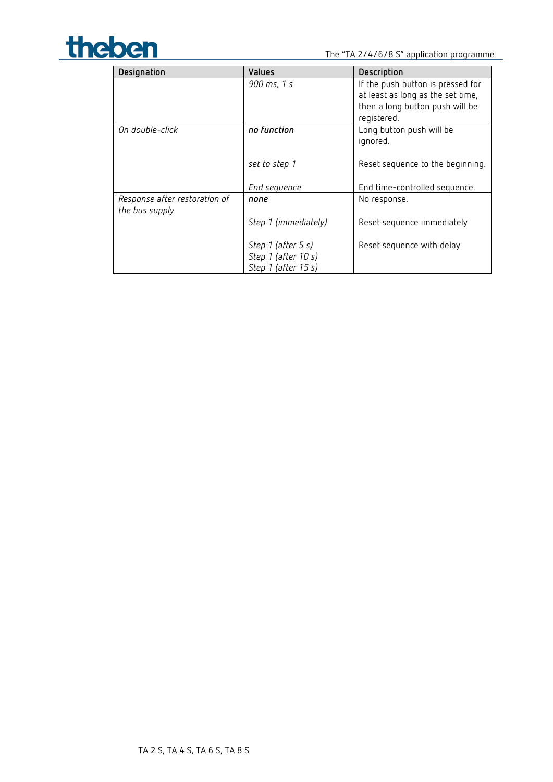

| Designation                                     | Values                                                           | Description                                                                                                              |
|-------------------------------------------------|------------------------------------------------------------------|--------------------------------------------------------------------------------------------------------------------------|
|                                                 | 900 ms, 1 s                                                      | If the push button is pressed for<br>at least as long as the set time,<br>then a long button push will be<br>registered. |
| On double-click                                 | no function                                                      | Long button push will be<br>ignored.                                                                                     |
|                                                 | set to step 1                                                    | Reset sequence to the beginning.                                                                                         |
|                                                 | End sequence                                                     | End time-controlled sequence.                                                                                            |
| Response after restoration of<br>the bus supply | none                                                             | No response.                                                                                                             |
|                                                 | Step 1 (immediately)                                             | Reset sequence immediately                                                                                               |
|                                                 | Step 1 (after 5 s)<br>Step 1 (after 10 s)<br>Step 1 (after 15 s) | Reset sequence with delay                                                                                                |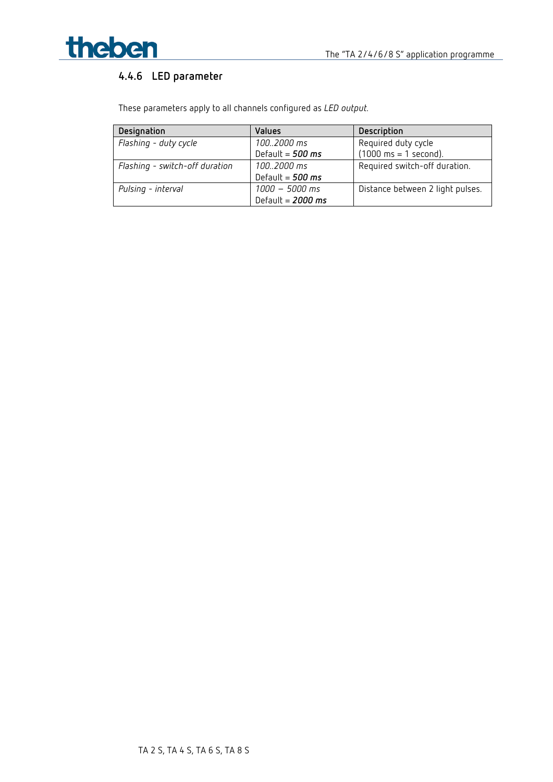

## **4.4.6 LED parameter**

| Designation                    | <b>Values</b>         | Description                             |
|--------------------------------|-----------------------|-----------------------------------------|
| Flashing - duty cycle          | 1002000 ms            | Required duty cycle                     |
|                                | Default = $500$ ms    | $(1000 \text{ ms} = 1 \text{ second}).$ |
| Flashing - switch-off duration | $100.2000 \text{ ms}$ | Required switch-off duration.           |
|                                | Default = $500$ ms    |                                         |
| Pulsing - interval             | $1000 - 5000$ ms      | Distance between 2 light pulses.        |
|                                | Default = $2000$ ms   |                                         |

These parameters apply to all channels configured as *LED output.*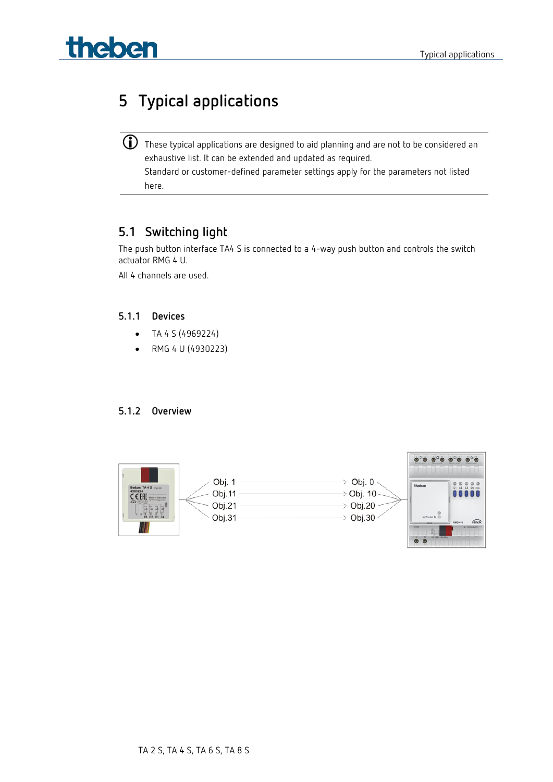# **Theben Typical applications**

## <span id="page-39-0"></span>**5 Typical applications**

 $\bigoplus$  These typical applications are designed to aid planning and are not to be considered an exhaustive list. It can be extended and updated as required. Standard or customer-defined parameter settings apply for the parameters not listed here.

## <span id="page-39-1"></span>**5.1 Switching light**

The push button interface TA4 S is connected to a 4-way push button and controls the switch actuator RMG 4 U.

All 4 channels are used.

#### **5.1.1 Devices**

- TA 4 S (4969224)
- RMG 4 U (4930223)

#### **5.1.2 Overview**

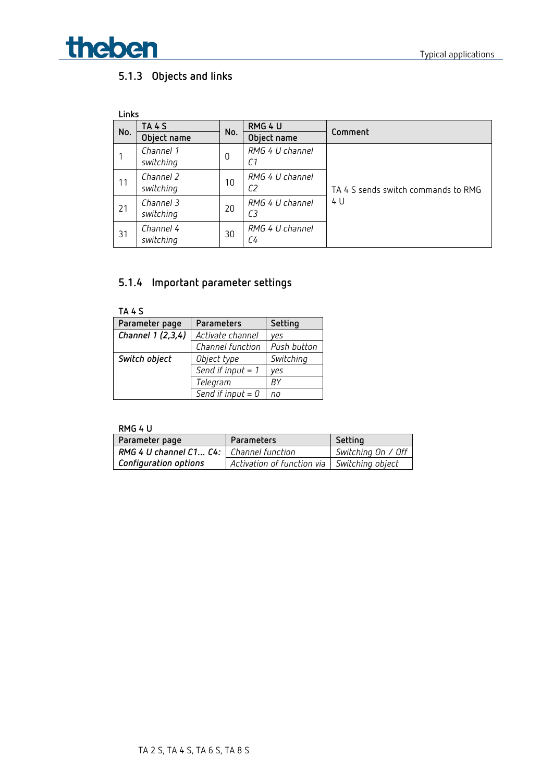

## **5.1.3 Objects and links**

| Links |                        |     |                       |                                     |
|-------|------------------------|-----|-----------------------|-------------------------------------|
| No.   | <b>TA 4 S</b>          | No. | RMG 4 U               | Comment                             |
|       | Object name            |     | Object name           |                                     |
|       | Channel 1<br>switching | 0   | RMG 4 U channel<br>С1 |                                     |
| 11    | Channel 2<br>switching | 10  | RMG 4 U channel<br>C2 | TA 4 S sends switch commands to RMG |
| 21    | Channel 3<br>switching | 20  | RMG 4 U channel<br>CЗ | 4 U                                 |
| 31    | Channel 4<br>switching | 30  | RMG 4 U channel<br>С4 |                                     |

## **5.1.4 Important parameter settings**

| TA 4 S            |                     |             |  |
|-------------------|---------------------|-------------|--|
| Parameter page    | Parameters          | Setting     |  |
| Channel 1 (2,3,4) | Activate channel    | ves         |  |
|                   | Channel function    | Push button |  |
| Switch object     | Object type         | Switching   |  |
|                   | Send if input $= 1$ | ves         |  |
|                   | Telegram            | ВY          |  |
|                   | Send if input $= 0$ | no          |  |

#### **RMG 4 U**

| Parameter page                                        | Parameters                 | Setting            |
|-------------------------------------------------------|----------------------------|--------------------|
| <b>RMG 4 U channel C1 C4:</b> $\mid$ Channel function |                            | Switching On / Off |
| <b>Configuration options</b>                          | Activation of function via | Switching object   |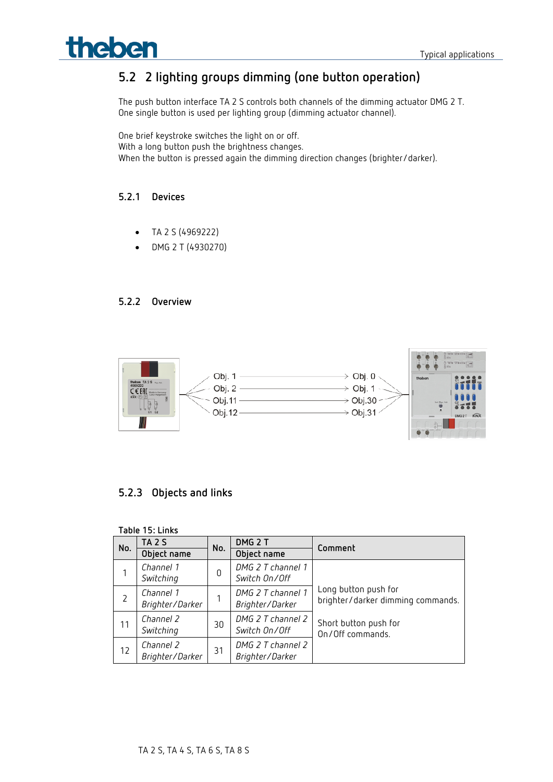# **Theben Typical applications**

## <span id="page-41-0"></span>**5.2 2 lighting groups dimming (one button operation)**

The push button interface TA 2 S controls both channels of the dimming actuator DMG 2 T. One single button is used per lighting group (dimming actuator channel).

One brief keystroke switches the light on or off. With a long button push the brightness changes. When the button is pressed again the dimming direction changes (brighter/darker).

#### **5.2.1 Devices**

- TA 2 S (4969222)
- DMG 2 T (4930270)

#### **5.2.2 Overview**



### **5.2.3 Objects and links**

|     | Table 15: Links              |     |                                      |                                                           |  |
|-----|------------------------------|-----|--------------------------------------|-----------------------------------------------------------|--|
| No. | <b>TA 2 S</b>                | No. | DMG <sub>2</sub> T                   | Comment                                                   |  |
|     | Object name                  |     | Object name                          |                                                           |  |
|     | Channel 1<br>Switching       | 0   | DMG 2 T channel 1<br>Switch On/Off   |                                                           |  |
|     | Channel 1<br>Brighter/Darker |     | DMG 2 T channel 1<br>Brighter/Darker | Long button push for<br>brighter/darker dimming commands. |  |
| 11  | Channel 2<br>Switching       | 30  | DMG 2 T channel 2<br>Switch On/Off   | Short button push for<br>On/Off commands.                 |  |
| 12  | Channel 2<br>Brighter/Darker | 31  | DMG 2 T channel 2<br>Brighter/Darker |                                                           |  |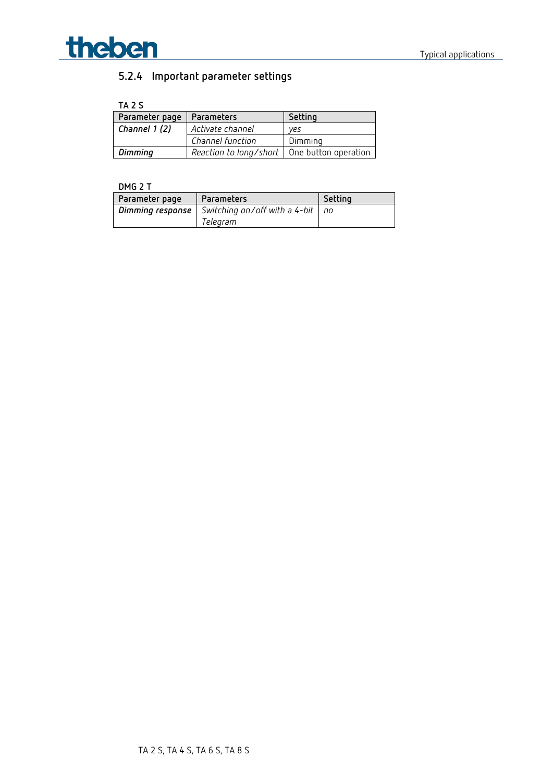

## **5.2.4 Important parameter settings**

**TA 2 S**

| Parameter page | Parameters                                    | Setting |
|----------------|-----------------------------------------------|---------|
| Channel 1(2)   | Activate channel                              | ves     |
|                | Channel function                              | Dimming |
| Dimming        | Reaction to long/short   One button operation |         |

#### **DMG 2 T**

| Parameter page   | <b>Parameters</b>                    | Setting |
|------------------|--------------------------------------|---------|
| Dimming response | Switching on/off with a 4-bit $ $ no |         |
|                  | Telegram                             |         |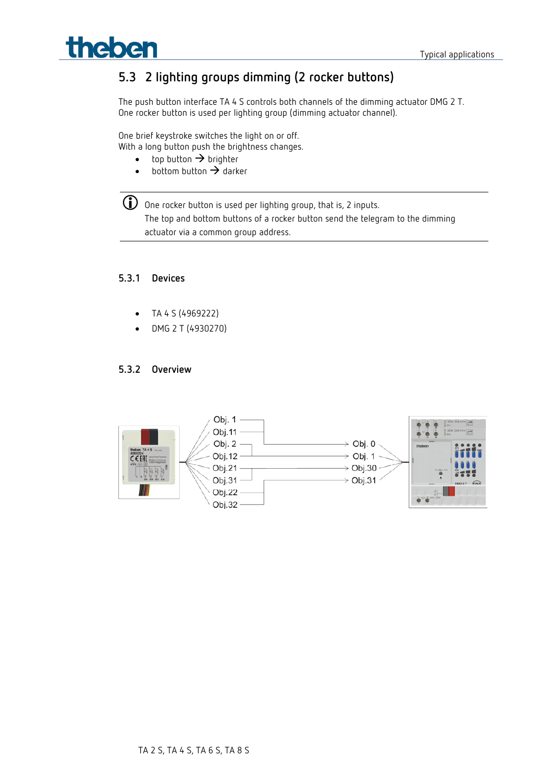# theben

## <span id="page-43-0"></span>**5.3 2 lighting groups dimming (2 rocker buttons)**

The push button interface TA 4 S controls both channels of the dimming actuator DMG 2 T. One rocker button is used per lighting group (dimming actuator channel).

One brief keystroke switches the light on or off.

With a long button push the brightness changes.

- top button  $\rightarrow$  brighter
- $\bullet$  bottom button  $\rightarrow$  darker



 $\bigcirc$  One rocker button is used per lighting group, that is, 2 inputs. The top and bottom buttons of a rocker button send the telegram to the dimming actuator via a common group address.

#### **5.3.1 Devices**

- TA 4 S (4969222)
- DMG 2 T (4930270)

#### **5.3.2 Overview**

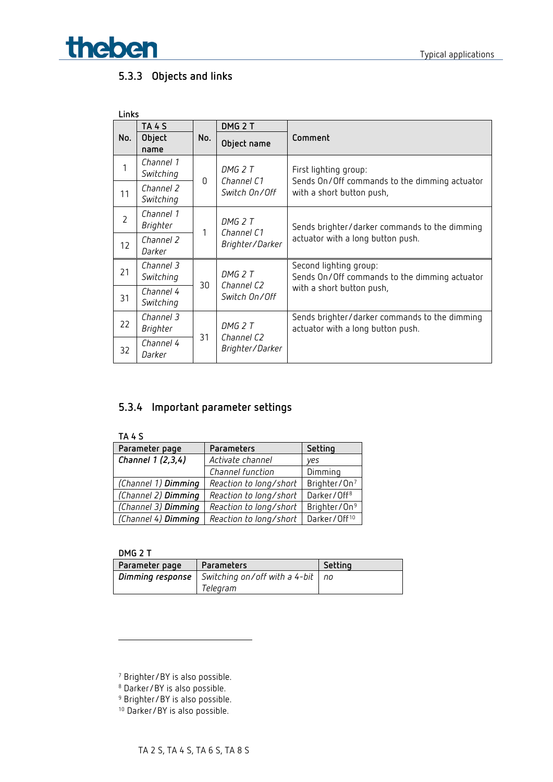

### **5.3.3 Objects and links**

| Links          |                              |     |                               |                                                                                                     |  |  |
|----------------|------------------------------|-----|-------------------------------|-----------------------------------------------------------------------------------------------------|--|--|
|                | <b>TA 4 S</b>                |     | DMG <sub>2</sub> T            | Comment                                                                                             |  |  |
| No.            | Object<br>name               | No. | Object name                   |                                                                                                     |  |  |
| 1              | Channel 1<br>Switching       |     | DMG 2 T<br>Channel C1         | First lighting group:<br>Sends On/Off commands to the dimming actuator<br>with a short button push, |  |  |
| 11             | Channel 2<br>Switching       | 0   | Switch On/Off                 |                                                                                                     |  |  |
| $\overline{2}$ | Channel 1<br>Brighter        | 1   | DMG 2 T<br>Channel C1         | Sends brighter/darker commands to the dimming<br>actuator with a long button push.                  |  |  |
| 12             | Channel 2<br>Darker          |     | Brighter/Darker               |                                                                                                     |  |  |
| 21             | Channel 3<br>Switching       |     | DMG 2 T                       | Second lighting group:<br>Sends On/Off commands to the dimming actuator                             |  |  |
| 31             | Channel 4<br>Switching       | 30  | Channel C2<br>Switch On/Off   | with a short button push,                                                                           |  |  |
| 22             | Channel 3<br><b>Brighter</b> |     | DMG 2 T                       | Sends brighter/darker commands to the dimming<br>actuator with a long button push.                  |  |  |
| 32             | Channel 4<br>Darker          | 31  | Channel C2<br>Brighter/Darker |                                                                                                     |  |  |

### **5.3.4 Important parameter settings**

| TA 4 S              |                        |                          |
|---------------------|------------------------|--------------------------|
| Parameter page      | Parameters             | Setting                  |
| Channel 1 (2,3,4)   | Activate channel       | ves                      |
|                     | Channel function       | Dimming                  |
| (Channel 1) Dimming | Reaction to long/short | Brighter/On <sup>7</sup> |
| (Channel 2) Dimming | Reaction to long/short | Darker/Off <sup>8</sup>  |
| (Channel 3) Dimming | Reaction to long/short | Brighter/On <sup>9</sup> |
| (Channel 4) Dimming | Reaction to long/short | Darker/Off <sup>10</sup> |

**DMG 2 T**

<u>.</u>

| Parameter page | Parameters                                                      | Setting |
|----------------|-----------------------------------------------------------------|---------|
|                | <b>Dimming response</b> Switching on/off with a 4-bit $\mid$ no |         |
|                | Telearam                                                        |         |

- <sup>8</sup> Darker/BY is also possible.
- <span id="page-44-3"></span><span id="page-44-2"></span><sup>9</sup> Brighter/BY is also possible.
- 10 Darker/BY is also possible.

<span id="page-44-1"></span><span id="page-44-0"></span><sup>7</sup> Brighter/BY is also possible.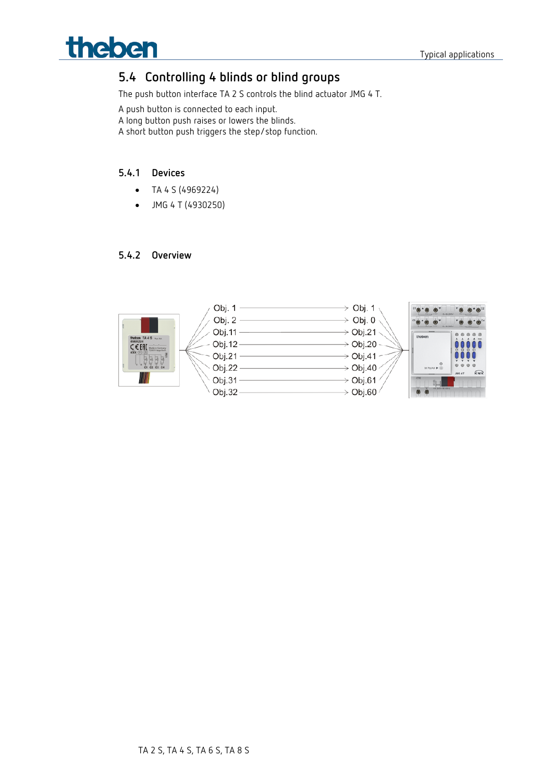## <span id="page-45-0"></span>**5.4 Controlling 4 blinds or blind groups**

The push button interface TA 2 S controls the blind actuator JMG 4 T.

A push button is connected to each input.

A long button push raises or lowers the blinds.

A short button push triggers the step/stop function.

#### **5.4.1 Devices**

- TA 4 S (4969224)
- JMG 4 T (4930250)

#### **5.4.2 Overview**

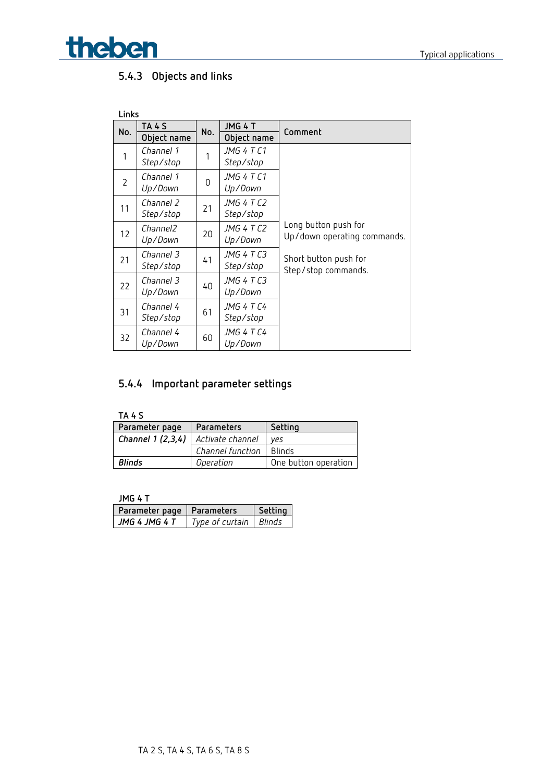**Theben Typical applications** 

## **5.4.3 Objects and links**

| Links          |             |     |             |                             |
|----------------|-------------|-----|-------------|-----------------------------|
| No.            | TA 4 S      | No. | JMG 4 T     | Comment                     |
|                | Object name |     | Object name |                             |
| 1              | Channel 1   | 1   | JMG 4 T C1  |                             |
|                | Step/stop   |     | Step/stop   |                             |
| $\overline{2}$ | Channel 1   | 0   | JMG 4 T C1  |                             |
|                | Up/Down     |     | Up/Down     |                             |
| 11             | Channel 2   | 21  | JMG 4 T C2  |                             |
|                | Step/stop   |     | Step/stop   |                             |
|                | Channel2    |     | JMG 4 T C2  | Long button push for        |
| 12             | Up/Down     | 20  | Up/Down     | Up/down operating commands. |
| 21             | Channel 3   |     | JMG 4 T C3  | Short button push for       |
|                | Step/stop   | 41  | Step/stop   | Step/stop commands.         |
| 22             | Channel 3   |     | JMG 4 T C3  |                             |
|                | Up/Down     | 40  | Up/Down     |                             |
|                | Channel 4   |     | JMG 4 T C4  |                             |
| 31             | Step/stop   | 61  | Step/stop   |                             |
|                | Channel 4   |     | JMG 4 T C4  |                             |
| 32             | Up/Down     | 60  | Up/Down     |                             |

## **5.4.4 Important parameter settings**

**TA 4 S**

| Parameter page    | Parameters       | Setting              |
|-------------------|------------------|----------------------|
| Channel 1 (2,3,4) | Activate channel | ves                  |
|                   | Channel function | <b>Blinds</b>        |
| Blinds            | Operation        | One button operation |

**JMG 4 T**

| Parameter page   Parameters |                        | Settina |  |
|-----------------------------|------------------------|---------|--|
| JMG 4 JMG 4 T               | Type of curtain Blinds |         |  |